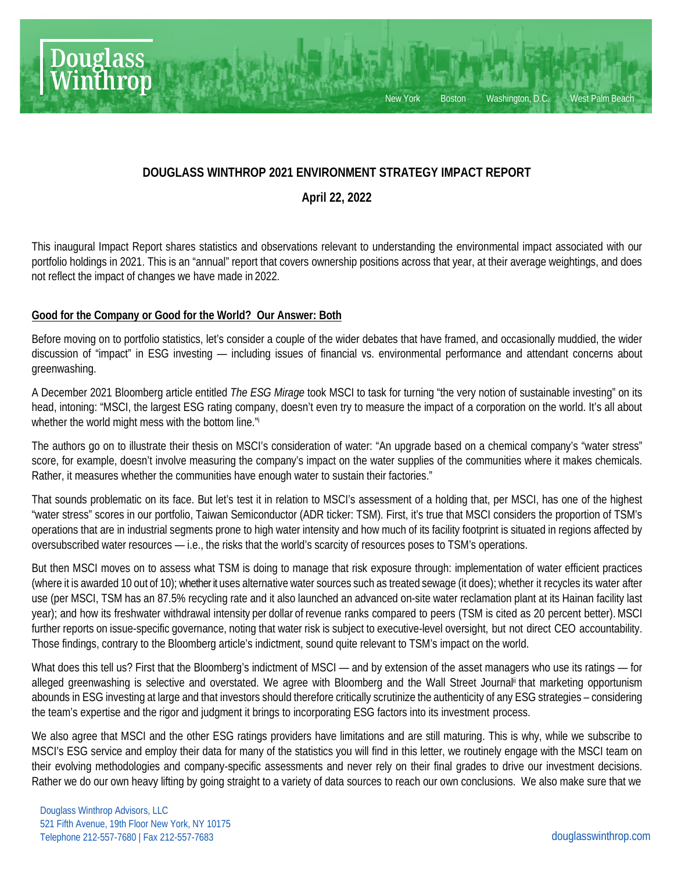

# **DOUGLASS WINTHROP 2021 ENVIRONMENT STRATEGY IMPACT REPORT**

# **April 22, 2022**

This inaugural Impact Report shares statistics and observations relevant to understanding the environmental impact associated with our portfolio holdings in 2021. This is an "annual" report that covers ownership positions across that year, at their average weightings, and does not reflect the impact of changes we have made in 2022.

### **Good for the Company or Good for the World? Our Answer: Both**

Before moving on to portfolio statistics, let's consider a couple of the wider debates that have framed, and occasionally muddied, the wider discussion of "impact" in ESG investing — including issues of financial vs. environmental performance and attendant concerns about greenwashing.

A December 2021 Bloomberg article entitled *The ESG Mirage* took MSCI to task for turning "the very notion of sustainable investing" on its head, intoning: "MSCI, the largest ESG rating company, doesn't even try to measure the impact of a corporation on the world. It's all about whether the world might mess with the bottom line.["i](#page-22-0)

The authors go on to illustrate their thesis on MSCI's consideration of water: "An upgrade based on a chemical company's "water stress" score, for example, doesn't involve measuring the company's impact on the water supplies of the communities where it makes chemicals. Rather, it measures whether the communities have enough water to sustain their factories."

That sounds problematic on its face. But let's test it in relation to MSCI's assessment of a holding that, per MSCI, has one of the highest "water stress" scores in our portfolio, Taiwan Semiconductor (ADR ticker: TSM). First, it's true that MSCI considers the proportion of TSM's operations that are in industrial segments prone to high water intensity and how much of its facility footprint is situated in regions affected by oversubscribed water resources — i.e., the risks that the world's scarcity of resources poses to TSM's operations.

But then MSCI moves on to assess what TSM is doing to manage that risk exposure through: implementation of water efficient practices (where it is awarded 10 out of 10); whether it uses alternative water sources such as treated sewage (it does); whether it recycles its water after use (per MSCI, TSM has an 87.5% recycling rate and it also launched an advanced on-site water reclamation plant at its Hainan facility last year); and how its freshwater withdrawal intensity per dollar of revenue ranks compared to peers (TSM is cited as 20 percent better).MSCI further reports on issue-specific governance, noting that water risk is subject to executive-level oversight, but not direct CEO accountability. Those findings, contrary to the Bloomberg article's indictment, sound quite relevant to TSM's impact on the world.

What does this tell us? First that the Bloomberg's indictment of MSCI — and by extension of the asset managers who use its ratings — for alleged greenwashing is selective and overstated. We agree with Bloomberg and the Wall Street Journal that marketing opportunism abounds in ESG investing at large and that investors should therefore critically scrutinize the authenticity of any ESG strategies – considering the team's expertise and the rigor and judgment it brings to incorporating ESG factors into its investment process.

We also agree that MSCI and the other ESG ratings providers have limitations and are still maturing. This is why, while we subscribe to MSCI's ESG service and employ their data for many of the statistics you will find in this letter, we routinely engage with the MSCI team on their evolving methodologies and company-specific assessments and never rely on their final grades to drive our investment decisions. Rather we do our own heavy lifting by going straight to a variety of data sources to reach our own conclusions. We also make sure that we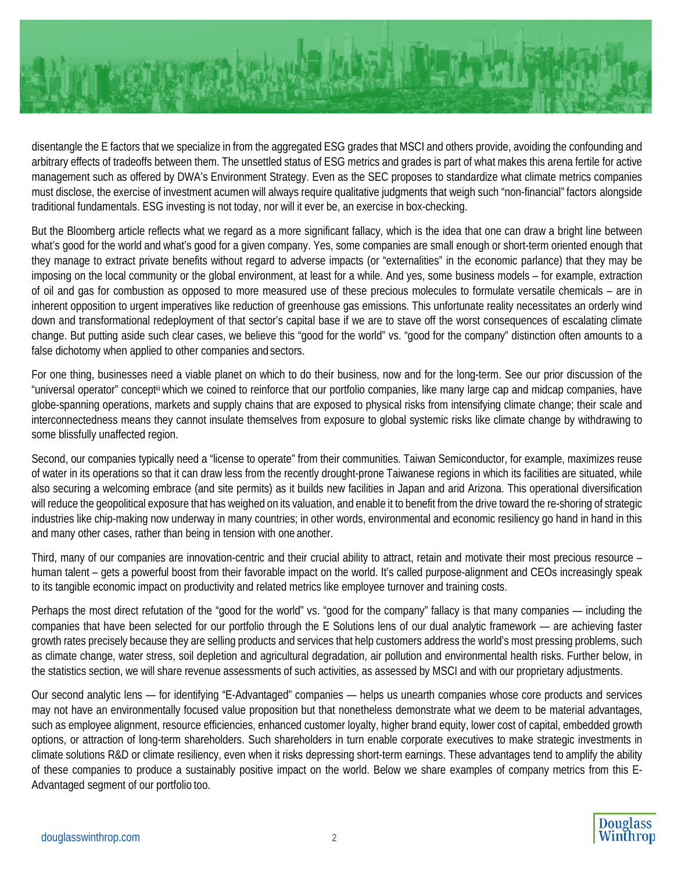

disentangle the E factors that we specialize in from the aggregated ESG grades that MSCI and others provide, avoiding the confounding and arbitrary effects of tradeoffs between them. The unsettled status of ESG metrics and grades is part of what makes this arena fertile for active management such as offered by DWA's Environment Strategy. Even as the SEC proposes to standardize what climate metrics companies must disclose, the exercise of investment acumen will always require qualitative judgments that weigh such "non-financial" factors alongside traditional fundamentals. ESG investing is not today, nor will it ever be, an exercise in box-checking.

But the Bloomberg article reflects what we regard as a more significant fallacy, which is the idea that one can draw a bright line between what's good for the world and what's good for a given company. Yes, some companies are small enough or short-term oriented enough that they manage to extract private benefits without regard to adverse impacts (or "externalities" in the economic parlance) that they may be imposing on the local community or the global environment, at least for a while. And yes, some business models – for example, extraction of oil and gas for combustion as opposed to more measured use of these precious molecules to formulate versatile chemicals – are in inherent opposition to urgent imperatives like reduction of greenhouse gas emissions. This unfortunate reality necessitates an orderly wind down and transformational redeployment of that sector's capital base if we are to stave off the worst consequences of escalating climate change. But putting aside such clear cases, we believe this "good for the world" vs. "good for the company" distinction often amounts to a false dichotomy when applied to other companies and sectors.

For one thing, businesses need a viable planet on which to do their business, now and for the long-term. See our prior discussion of the "universal operator" concep[tiii](#page-22-2) which we coined to reinforce that our portfolio companies, like many large cap and midcap companies, have globe-spanning operations, markets and supply chains that are exposed to physical risks from intensifying climate change; their scale and interconnectedness means they cannot insulate themselves from exposure to global systemic risks like climate change by withdrawing to some blissfully unaffected region.

Second, our companies typically need a "license to operate" from their communities. Taiwan Semiconductor, for example, maximizes reuse of water in its operations so that it can draw less from the recently drought-prone Taiwanese regions in which its facilities are situated, while also securing a welcoming embrace (and site permits) as it builds new facilities in Japan and arid Arizona. This operational diversification will reduce the geopolitical exposure that has weighed on its valuation, and enable it to benefit from the drive toward the re-shoring of strategic industries like chip-making now underway in many countries; in other words, environmental and economic resiliency go hand in hand in this and many other cases, rather than being in tension with one another.

Third, many of our companies are innovation-centric and their crucial ability to attract, retain and motivate their most precious resource – human talent – gets a powerful boost from their favorable impact on the world. It's called purpose-alignment and CEOs increasingly speak to its tangible economic impact on productivity and related metrics like employee turnover and training costs.

Perhaps the most direct refutation of the "good for the world" vs. "good for the company" fallacy is that many companies — including the companies that have been selected for our portfolio through the E Solutions lens of our dual analytic framework — are achieving faster growth rates precisely because they are selling products and services that help customers address the world's most pressing problems, such as climate change, water stress, soil depletion and agricultural degradation, air pollution and environmental health risks. Further below, in the statistics section, we will share revenue assessments of such activities, as assessed by MSCI and with our proprietary adjustments.

Our second analytic lens — for identifying "E-Advantaged" companies — helps us unearth companies whose core products and services may not have an environmentally focused value proposition but that nonetheless demonstrate what we deem to be material advantages, such as employee alignment, resource efficiencies, enhanced customer loyalty, higher brand equity, lower cost of capital, embedded growth options, or attraction of long-term shareholders. Such shareholders in turn enable corporate executives to make strategic investments in climate solutions R&D or climate resiliency, even when it risks depressing short-term earnings. These advantages tend to amplify the ability of these companies to produce a sustainably positive impact on the world. Below we share examples of company metrics from this E-Advantaged segment of our portfolio too.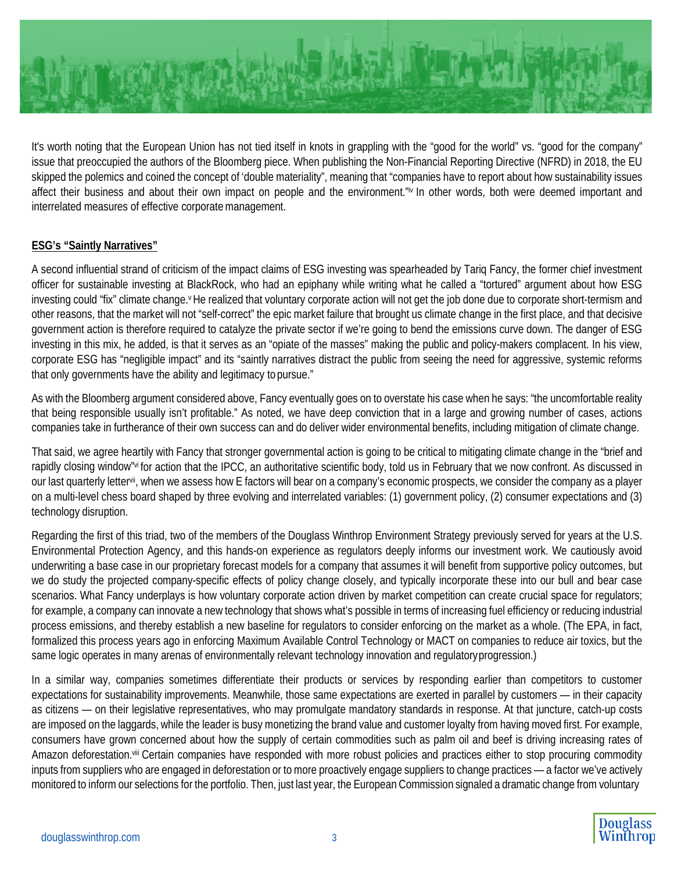

It's worth noting that the European Union has not tied itself in knots in grappling with the "good for the world" vs. "good for the company" issue that preoccupied the authors of the Bloomberg piece. When publishing the Non-Financial Reporting Directive (NFRD) in 2018, the EU skipped the polemics and coined the concept of 'double materiality", meaning that "companies have to report about how sustainability issues affect their business and about their own impact on people and the environment."<sup>I</sup>N in other words, both were deemed important and interrelated measures of effective corporate management.

# **ESG's "Saintly Narratives"**

A second influential strand of criticism of the impact claims of ESG investing was spearheaded by Tariq Fancy, the former chief investment officer for sustainable investing at BlackRock, who had an epiphany while writing what he called a "tortured" argument about how ESG investing could "fix" climate change. He realized that voluntary corporate action will not get the job done due to corporate short-termism and other reasons, that the market will not "self-correct" the epic market failure that brought us climate change in the first place, and that decisive government action is therefore required to catalyze the private sector if we're going to bend the emissions curve down. The danger of ESG investing in this mix, he added, is that it serves as an "opiate of the masses" making the public and policy-makers complacent. In his view, corporate ESG has "negligible impact" and its "saintly narratives distract the public from seeing the need for aggressive, systemic reforms that only governments have the ability and legitimacy to pursue."

As with the Bloomberg argument considered above, Fancy eventually goes on to overstate his case when he says: "the uncomfortable reality that being responsible usually isn't profitable." As noted, we have deep conviction that in a large and growing number of cases, actions companies take in furtherance of their own success can and do deliver wider environmental benefits, including mitigation of climate change.

That said, we agree heartily with Fancy that stronger governmental action is going to be critical to mitigating climate change in the "brief and rapidly closing window" if or action that the IPCC, an authoritative scientific body, told us in February that we now confront. As discussed in our last quarterly letter<sup>vii</sup>, when we assess how E factors will bear on a company's economic prospects, we consider the company as a player on a multi-level chess board shaped by three evolving and interrelated variables: (1) government policy, (2) consumer expectations and (3) technology disruption.

Regarding the first of this triad, two of the members of the Douglass Winthrop Environment Strategy previously served for years at the U.S. Environmental Protection Agency, and this hands-on experience as regulators deeply informs our investment work. We cautiously avoid underwriting a base case in our proprietary forecast models for a company that assumes it will benefit from supportive policy outcomes, but we do study the projected company-specific effects of policy change closely, and typically incorporate these into our bull and bear case scenarios. What Fancy underplays is how voluntary corporate action driven by market competition can create crucial space for regulators; for example, a company can innovate a new technology that shows what's possible in terms of increasing fuel efficiency or reducing industrial process emissions, and thereby establish a new baseline for regulators to consider enforcing on the market as a whole. (The EPA, in fact, formalized this process years ago in enforcing Maximum Available Control Technology or MACT on companies to reduce air toxics, but the same logic operates in many arenas of environmentally relevant technology innovation and regulatoryprogression.)

In a similar way, companies sometimes differentiate their products or services by responding earlier than competitors to customer expectations for sustainability improvements. Meanwhile, those same expectations are exerted in parallel by customers — in their capacity as citizens — on their legislative representatives, who may promulgate mandatory standards in response. At that juncture, catch-up costs are imposed on the laggards, while the leader is busy monetizing the brand value and customer loyalty from having moved first. For example, consumers have grown concerned about how the supply of certain commodities such as palm oil and beef is driving increasing rates of Amazon deforestation.vili Certain companies have responded with more robust policies and practices either to stop procuring commodity inputs from suppliers who are engaged in deforestation or to more proactively engage suppliers to change practices — a factor we've actively monitored to inform our selections for the portfolio. Then, just last year, the European Commission signaled a dramatic change from voluntary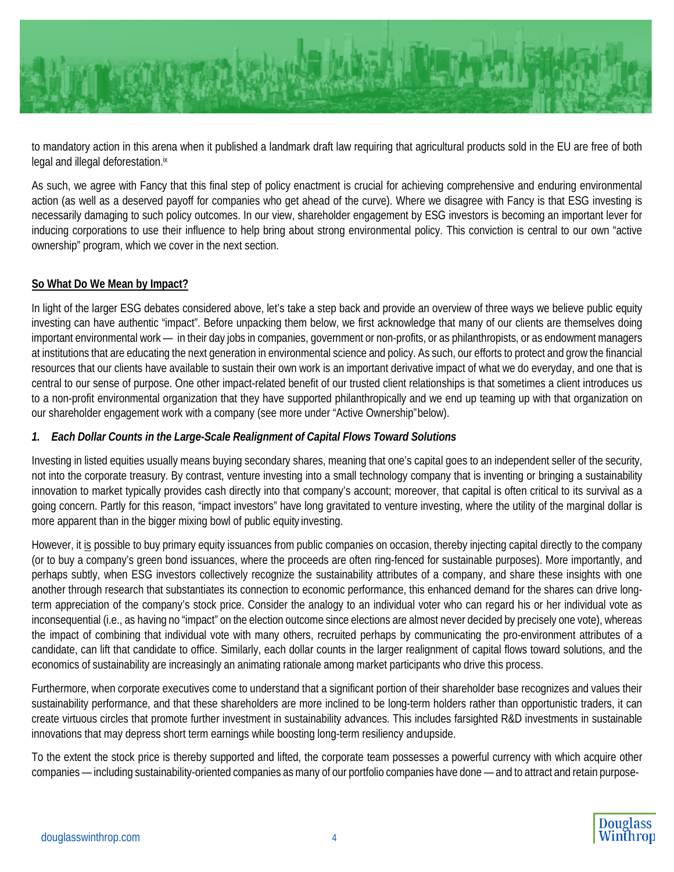

to mandatory action in this arena when it published a landmark draft law requiring that agricultural products sold in the EU are free of both legal and illegal deforestation.<sup>ix</sup>

As such, we agree with Fancy that this final step of policy enactment is crucial for achieving comprehensive and enduring environmental action (as well as a deserved payoff for companies who get ahead of the curve). Where we disagree with Fancy is that ESG investing is necessarily damaging to such policy outcomes. In our view, shareholder engagement by ESG investors is becoming an important lever for inducing corporations to use their influence to help bring about strong environmental policy. This conviction is central to our own "active ownership" program, which we cover in the next section.

# **So What Do We Mean by Impact?**

In light of the larger ESG debates considered above, let's take a step back and provide an overview of three ways we believe public equity investing can have authentic "impact". Before unpacking them below, we first acknowledge that many of our clients are themselves doing important environmental work — in their day jobs in companies, government or non-profits, or as philanthropists, or as endowment managers at institutions that are educating the next generation in environmental science and policy. As such, our efforts to protect and grow the financial resources that our clients have available to sustain their own work is an important derivative impact of what we do everyday, and one that is central to our sense of purpose. One other impact-related benefit of our trusted client relationships is that sometimes a client introduces us to a non-profit environmental organization that they have supported philanthropically and we end up teaming up with that organization on our shareholder engagement work with a company (see more under "Active Ownership"below).

### *1. Each Dollar Counts in the Large-Scale Realignment of Capital Flows Toward Solutions*

Investing in listed equities usually means buying secondary shares, meaning that one's capital goes to an independent seller of the security, not into the corporate treasury. By contrast, venture investing into a small technology company that is inventing or bringing a sustainability innovation to market typically provides cash directly into that company's account; moreover, that capital is often critical to its survival as a going concern. Partly for this reason, "impact investors" have long gravitated to venture investing, where the utility of the marginal dollar is more apparent than in the bigger mixing bowl of public equity investing.

However, it is possible to buy primary equity issuances from public companies on occasion, thereby injecting capital directly to the company (or to buy a company's green bond issuances, where the proceeds are often ring-fenced for sustainable purposes). More importantly, and perhaps subtly, when ESG investors collectively recognize the sustainability attributes of a company, and share these insights with one another through research that substantiates its connection to economic performance, this enhanced demand for the shares can drive longterm appreciation of the company's stock price. Consider the analogy to an individual voter who can regard his or her individual vote as inconsequential (i.e., as having no "impact" on the election outcome since elections are almost never decided by precisely one vote), whereas the impact of combining that individual vote with many others, recruited perhaps by communicating the pro-environment attributes of a candidate, can lift that candidate to office. Similarly, each dollar counts in the larger realignment of capital flows toward solutions, and the economics of sustainability are increasingly an animating rationale among market participants who drive this process.

Furthermore, when corporate executives come to understand that a significant portion of their shareholder base recognizes and values their sustainability performance, and that these shareholders are more inclined to be long-term holders rather than opportunistic traders, it can create virtuous circles that promote further investment in sustainability advances. This includes farsighted R&D investments in sustainable innovations that may depress short term earnings while boosting long-term resiliency andupside.

To the extent the stock price is thereby supported and lifted, the corporate team possesses a powerful currency with which acquire other companies — including sustainability-oriented companies as many of our portfolio companies have done — and to attract and retain purpose-

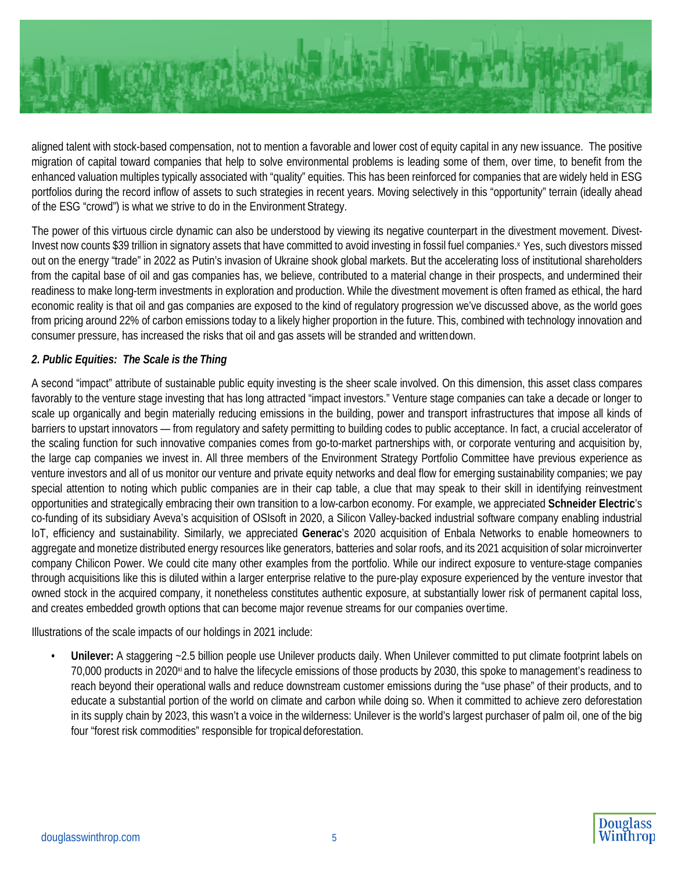

aligned talent with stock-based compensation, not to mention a favorable and lower cost of equity capital in any new issuance. The positive migration of capital toward companies that help to solve environmental problems is leading some of them, over time, to benefit from the enhanced valuation multiples typically associated with "quality" equities. This has been reinforced for companies that are widely held in ESG portfolios during the record inflow of assets to such strategies in recent years. Moving selectively in this "opportunity" terrain (ideally ahead of the ESG "crowd") is what we strive to do in the Environment Strategy.

The power of this virtuous circle dynamic can also be understood by viewing its negative counterpart in the divestment movement. Divest-Invest now counts \$39 trillion in signatory assets that have committed to avoid investing in fossil fuel companies.<sup>x</sup> Yes, such divestors missed out on the energy "trade" in 2022 as Putin's invasion of Ukraine shook global markets. But the accelerating loss of institutional shareholders from the capital base of oil and gas companies has, we believe, contributed to a material change in their prospects, and undermined their readiness to make long-term investments in exploration and production. While the divestment movement is often framed as ethical, the hard economic reality is that oil and gas companies are exposed to the kind of regulatory progression we've discussed above, as the world goes from pricing around 22% of carbon emissions today to a likely higher proportion in the future. This, combined with technology innovation and consumer pressure, has increased the risks that oil and gas assets will be stranded and writtendown.

# *2. Public Equities: The Scale is the Thing*

A second "impact" attribute of sustainable public equity investing is the sheer scale involved. On this dimension, this asset class compares favorably to the venture stage investing that has long attracted "impact investors." Venture stage companies can take a decade or longer to scale up organically and begin materially reducing emissions in the building, power and transport infrastructures that impose all kinds of barriers to upstart innovators — from regulatory and safety permitting to building codes to public acceptance. In fact, a crucial accelerator of the scaling function for such innovative companies comes from go-to-market partnerships with, or corporate venturing and acquisition by, the large cap companies we invest in. All three members of the Environment Strategy Portfolio Committee have previous experience as venture investors and all of us monitor our venture and private equity networks and deal flow for emerging sustainability companies; we pay special attention to noting which public companies are in their cap table, a clue that may speak to their skill in identifying reinvestment opportunities and strategically embracing their own transition to a low-carbon economy. For example, we appreciated **Schneider Electric**'s co-funding of its subsidiary Aveva's acquisition of OSIsoft in 2020, a Silicon Valley-backed industrial software company enabling industrial IoT, efficiency and sustainability. Similarly, we appreciated **Generac**'s 2020 acquisition of Enbala Networks to enable homeowners to aggregate and monetize distributed energy resources like generators, batteries and solar roofs, and its 2021 acquisition of solar microinverter company Chilicon Power. We could cite many other examples from the portfolio. While our indirect exposure to venture-stage companies through acquisitions like this is diluted within a larger enterprise relative to the pure-play exposure experienced by the venture investor that owned stock in the acquired company, it nonetheless constitutes authentic exposure, at substantially lower risk of permanent capital loss, and creates embedded growth options that can become major revenue streams for our companies overtime.

Illustrations of the scale impacts of our holdings in 2021 include:

Unilever: A staggering ~2.5 billion people use Unilever products daily. When Unilever committed to put climate footprint labels on 70,000 products in 2020<sup>xi</sup> and to halve the lifecycle emissions of those products by 2030, this spoke to management's readiness to reach beyond their operational walls and reduce downstream customer emissions during the "use phase" of their products, and to educate a substantial portion of the world on climate and carbon while doing so. When it committed to achieve zero deforestation in its supply chain by 2023, this wasn't a voice in the wilderness: Unilever is the world's largest purchaser of palm oil, one of the big four "forest risk commodities" responsible for tropical deforestation.

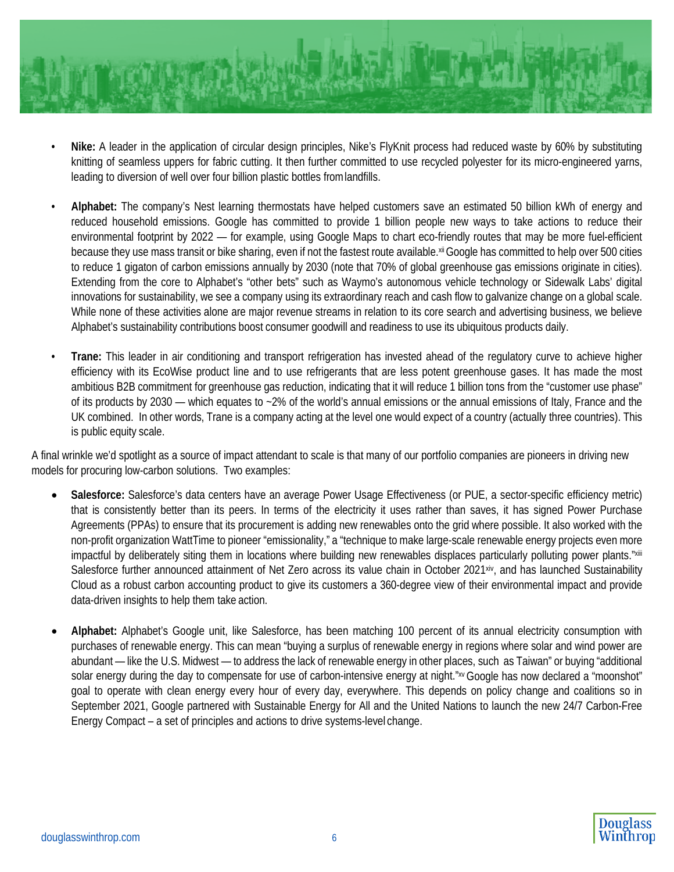

- **Nike:** A leader in the application of circular design principles, Nike's FlyKnit process had reduced waste by 60% by substituting knitting of seamless uppers for fabric cutting. It then further committed to use recycled polyester for its micro-engineered yarns, leading to diversion of well over four billion plastic bottles fromlandfills.
- **Alphabet:** The company's Nest learning thermostats have helped customers save an estimated 50 billion kWh of energy and reduced household emissions. Google has committed to provide 1 billion people new ways to take actions to reduce their environmental footprint by 2022 — for example, using Google Maps to chart eco-friendly routes that may be more fuel-efficient because they use mass transit or bike sharing, even if not the fastest route available.<sup>xii</sup> Google has committed to help over 500 cities to reduce 1 gigaton of carbon emissions annually by 2030 (note that 70% of global greenhouse gas emissions originate in cities). Extending from the core to Alphabet's "other bets" such as Waymo's autonomous vehicle technology or Sidewalk Labs' digital innovations for sustainability, we see a company using its extraordinary reach and cash flow to galvanize change on a global scale. While none of these activities alone are major revenue streams in relation to its core search and advertising business, we believe Alphabet's sustainability contributions boost consumer goodwill and readiness to use its ubiquitous products daily.
- **Trane:** This leader in air conditioning and transport refrigeration has invested ahead of the regulatory curve to achieve higher efficiency with its EcoWise product line and to use refrigerants that are less potent greenhouse gases. It has made the most ambitious B2B commitment for greenhouse gas reduction, indicating that it will reduce 1 billion tons from the "customer use phase" of its products by 2030 — which equates to ~2% of the world's annual emissions or the annual emissions of Italy, France and the UK combined. In other words, Trane is a company acting at the level one would expect of a country (actually three countries). This is public equity scale.

A final wrinkle we'd spotlight as a source of impact attendant to scale is that many of our portfolio companies are pioneers in driving new models for procuring low-carbon solutions. Two examples:

- **Salesforce:** Salesforce's data centers have an average Power Usage Effectiveness (or PUE, a sector-specific efficiency metric) that is consistently better than its peers. In terms of the electricity it uses rather than saves, it has signed Power Purchase Agreements (PPAs) to ensure that its procurement is adding new renewables onto the grid where possible. It also worked with the non-profit organization WattTime to pioneer "emissionality," a "technique to make large-scale renewable energy projects even more impactful by deliberately siting them in locations where building new renewables displaces particularly polluting power plants.["xiii](#page-23-8) Salesforce further announced attainment of Net Zero across its value chain in October 2021<sup>xiv</sup>, and has launched Sustainability Cloud as a robust carbon accounting product to give its customers a 360-degree view of their environmental impact and provide data-driven insights to help them take action.
- **Alphabet:** Alphabet's Google unit, like Salesforce, has been matching 100 percent of its annual electricity consumption with purchases of renewable energy. This can mean "buying a surplus of renewable energy in regions where solar and wind power are abundant — like the U.S. Midwest — to address the lack of renewable energy in other places, such as Taiwan" or buying "additional solar energy during the day to compensate for use of carbon-intensive energy at night.["xvG](#page-23-10)oogle has now declared a "moonshot" goal to operate with clean energy every hour of every day, everywhere. This depends on policy change and coalitions so in September 2021, Google partnered with Sustainable Energy for All and the United Nations to launch the new 24/7 Carbon-Free Energy Compact – a set of principles and actions to drive systems-level change.

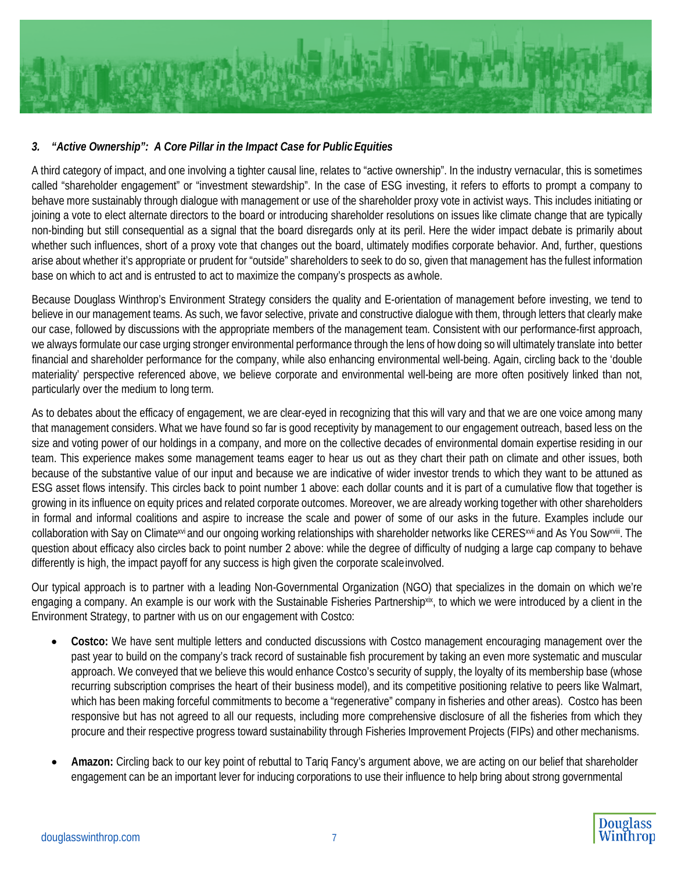

# *3. "Active Ownership": A Core Pillar in the Impact Case for PublicEquities*

A third category of impact, and one involving a tighter causal line, relates to "active ownership". In the industry vernacular, this is sometimes called "shareholder engagement" or "investment stewardship". In the case of ESG investing, it refers to efforts to prompt a company to behave more sustainably through dialogue with management or use of the shareholder proxy vote in activist ways. This includes initiating or joining a vote to elect alternate directors to the board or introducing shareholder resolutions on issues like climate change that are typically non-binding but still consequential as a signal that the board disregards only at its peril. Here the wider impact debate is primarily about whether such influences, short of a proxy vote that changes out the board, ultimately modifies corporate behavior. And, further, questions arise about whether it's appropriate or prudent for "outside" shareholders to seek to do so, given that management has the fullest information base on which to act and is entrusted to act to maximize the company's prospects as awhole.

Because Douglass Winthrop's Environment Strategy considers the quality and E-orientation of management before investing, we tend to believe in our management teams. As such, we favor selective, private and constructive dialogue with them, through letters that clearly make our case, followed by discussions with the appropriate members of the management team. Consistent with our performance-first approach, we always formulate our case urging stronger environmental performance through the lens of how doing so will ultimately translate into better financial and shareholder performance for the company, while also enhancing environmental well-being. Again, circling back to the 'double materiality' perspective referenced above, we believe corporate and environmental well-being are more often positively linked than not, particularly over the medium to long term.

As to debates about the efficacy of engagement, we are clear-eyed in recognizing that this will vary and that we are one voice among many that management considers. What we have found so far is good receptivity by management to our engagement outreach, based less on the size and voting power of our holdings in a company, and more on the collective decades of environmental domain expertise residing in our team. This experience makes some management teams eager to hear us out as they chart their path on climate and other issues, both because of the substantive value of our input and because we are indicative of wider investor trends to which they want to be attuned as ESG asset flows intensify. This circles back to point number 1 above: each dollar counts and it is part of a cumulative flow that together is growing in its influence on equity prices and related corporate outcomes. Moreover, we are already working together with other shareholders in formal and informal coalitions and aspire to increase the scale and power of some of our asks in the future. Examples include our collaboration with Say on Climat[exvi](#page-23-11) and our ongoing working relationships with shareholder networks like CERE[Sxvii](#page-23-12) and As You Sowxvi[ii.](#page-23-13) The question about efficacy also circles back to point number 2 above: while the degree of difficulty of nudging a large cap company to behave differently is high, the impact payoff for any success is high given the corporate scaleinvolved.

Our typical approach is to partner with a leading Non-Governmental Organization (NGO) that specializes in the domain on which we're engaging a company. An example is our work with the Sustainable Fisheries Partnershi[pxix,](#page-23-14) to which we were introduced by a client in the Environment Strategy, to partner with us on our engagement with Costco:

- **Costco:** We have sent multiple letters and conducted discussions with Costco management encouraging management over the past year to build on the company's track record of sustainable fish procurement by taking an even more systematic and muscular approach. We conveyed that we believe this would enhance Costco's security of supply, the loyalty of its membership base (whose recurring subscription comprises the heart of their business model), and its competitive positioning relative to peers like Walmart, which has been making forceful commitments to become a "regenerative" company in fisheries and other areas). Costco has been responsive but has not agreed to all our requests, including more comprehensive disclosure of all the fisheries from which they procure and their respective progress toward sustainability through Fisheries Improvement Projects (FIPs) and other mechanisms.
- **Amazon:** Circling back to our key point of rebuttal to Tariq Fancy's argument above, we are acting on our belief that shareholder engagement can be an important lever for inducing corporations to use their influence to help bring about strong governmental

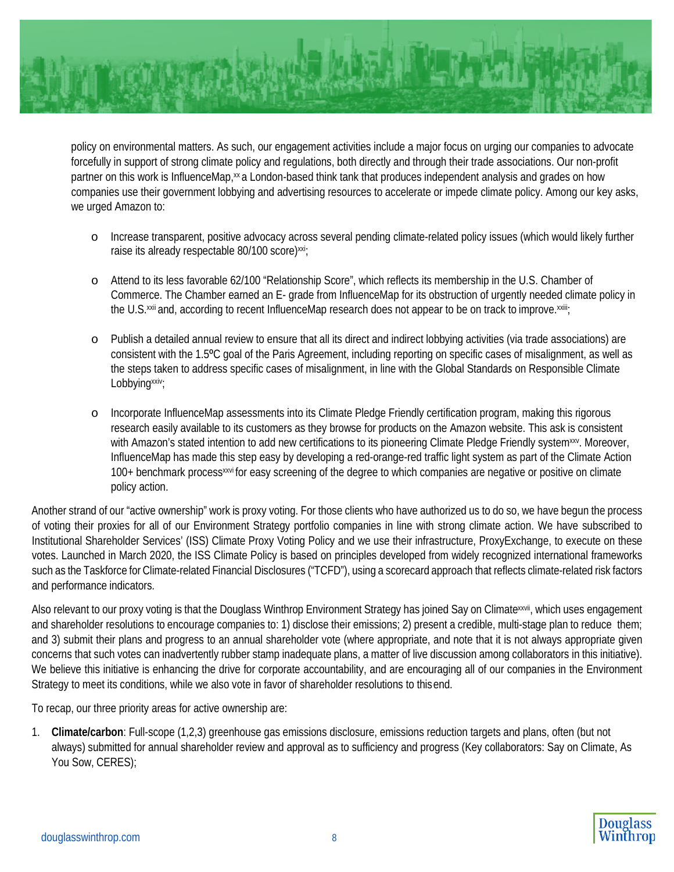

policy on environmental matters. As such, our engagement activities include a major focus on urging our companies to advocate forcefully in support of strong climate policy and regulations, both directly and through their trade associations. Our non-profit partner on this work is InfluenceMap,<sup>xx</sup> a London-based think tank that produces independent analysis and grades on how companies use their government lobbying and advertising resources to accelerate or impede climate policy. Among our key asks, we urged Amazon to:

- o Increase transparent, positive advocacy across several pending climate-related policy issues (which would likely further raise its already respectable 80/100 score)<sup>xxi</sup>;
- o Attend to its less favorable 62/100 "Relationship Score", which reflects its membership in the U.S. Chamber of Commerce. The Chamber earned an E- grade from InfluenceMap for its obstruction of urgently needed climate policy in the U.S.<sup>xxii</sup> and, according to recent InfluenceMap research does not appear to be on track to improve.<sup>xxiii</sup>;
- o Publish a detailed annual review to ensure that all its direct and indirect lobbying activities (via trade associations) are consistent with the 1.5<sup>o</sup>C goal of the Paris Agreement, including reporting on specific cases of misalignment, as well as the steps taken to address specific cases of misalignment, in line with the Global Standards on Responsible Climate Lobbyin[gxxiv;](#page-23-19)
- o Incorporate InfluenceMap assessments into its Climate Pledge Friendly certification program, making this rigorous research easily available to its customers as they browse for products on the Amazon website. This ask is consistent with Amazon's stated intention to add new certifications to its pioneering Climate Pledge Friendly syste[mxxv.](#page-23-20) Moreover, InfluenceMap has made this step easy by developing a red-orange-red traffic light system as part of the Climate Action 100+ benchmark proces[sxxvi](#page-23-21) for easy screening of the degree to which companies are negative or positive on climate policy action.

Another strand of our "active ownership" work is proxy voting. For those clients who have authorized us to do so, we have begun the process of voting their proxies for all of our Environment Strategy portfolio companies in line with strong climate action. We have subscribed to Institutional Shareholder Services' (ISS) Climate Proxy Voting Policy and we use their infrastructure, ProxyExchange, to execute on these votes. Launched in March 2020, the ISS Climate Policy is based on principles developed from widely recognized international frameworks such as the Taskforce for Climate-related Financial Disclosures ("TCFD"), using a scorecard approach that reflects climate-related risk factors and performance indicators.

Also relevant to our proxy voting is that the Douglass Winthrop Environment Strategy has joined Say on Climatexxvii, which uses engagement and shareholder resolutions to encourage companies to: 1) disclose their emissions; 2) present a credible, multi-stage plan to reduce them; and 3) submit their plans and progress to an annual shareholder vote (where appropriate, and note that it is not always appropriate given concerns that such votes can inadvertently rubber stamp inadequate plans, a matter of live discussion among collaborators in this initiative). We believe this initiative is enhancing the drive for corporate accountability, and are encouraging all of our companies in the Environment Strategy to meet its conditions, while we also vote in favor of shareholder resolutions to thisend.

To recap, our three priority areas for active ownership are:

1. **Climate/carbon**: Full-scope (1,2,3) greenhouse gas emissions disclosure, emissions reduction targets and plans, often (but not always) submitted for annual shareholder review and approval as to sufficiency and progress (Key collaborators: Say on Climate, As You Sow, CERES);

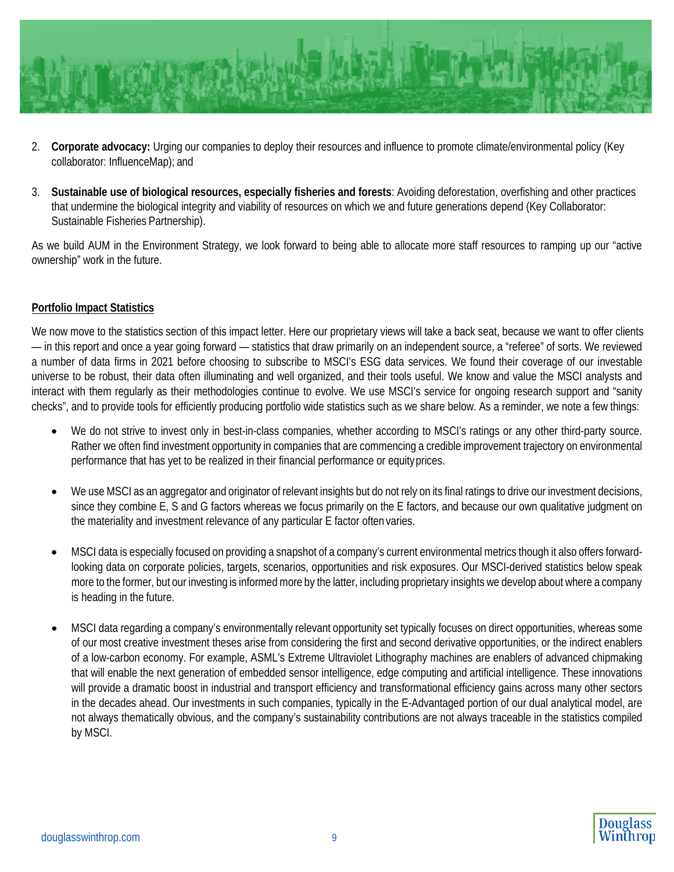

- 2. **Corporate advocacy:** Urging our companies to deploy their resources and influence to promote climate/environmental policy (Key collaborator: InfluenceMap); and
- 3. **Sustainable use of biological resources, especially fisheries and forests**: Avoiding deforestation, overfishing and other practices that undermine the biological integrity and viability of resources on which we and future generations depend (Key Collaborator: Sustainable Fisheries Partnership).

As we build AUM in the Environment Strategy, we look forward to being able to allocate more staff resources to ramping up our "active ownership" work in the future.

# **Portfolio Impact Statistics**

We now move to the statistics section of this impact letter. Here our proprietary views will take a back seat, because we want to offer clients — in this report and once a year going forward — statistics that draw primarily on an independent source, a "referee" of sorts. We reviewed a number of data firms in 2021 before choosing to subscribe to MSCI's ESG data services. We found their coverage of our investable universe to be robust, their data often illuminating and well organized, and their tools useful. We know and value the MSCI analysts and interact with them regularly as their methodologies continue to evolve. We use MSCI's service for ongoing research support and "sanity checks", and to provide tools for efficiently producing portfolio wide statistics such as we share below. As a reminder, we note a few things:

- We do not strive to invest only in best-in-class companies, whether according to MSCI's ratings or any other third-party source. Rather we often find investment opportunity in companies that are commencing a credible improvement trajectory on environmental performance that has yet to be realized in their financial performance or equityprices.
- We use MSCI as an aggregator and originator of relevant insights but do not rely on its final ratings to drive our investment decisions, since they combine E, S and G factors whereas we focus primarily on the E factors, and because our own qualitative judgment on the materiality and investment relevance of any particular E factor often varies.
- MSCI data is especially focused on providing a snapshot of a company's current environmental metrics though it also offers forwardlooking data on corporate policies, targets, scenarios, opportunities and risk exposures. Our MSCI-derived statistics below speak more to the former, but our investing is informed more by the latter, including proprietary insights we develop about where a company is heading in the future.
- MSCI data regarding a company's environmentally relevant opportunity set typically focuses on direct opportunities, whereas some of our most creative investment theses arise from considering the first and second derivative opportunities, or the indirect enablers of a low-carbon economy. For example, ASML's Extreme Ultraviolet Lithography machines are enablers of advanced chipmaking that will enable the next generation of embedded sensor intelligence, edge computing and artificial intelligence. These innovations will provide a dramatic boost in industrial and transport efficiency and transformational efficiency gains across many other sectors in the decades ahead. Our investments in such companies, typically in the E-Advantaged portion of our dual analytical model, are not always thematically obvious, and the company's sustainability contributions are not always traceable in the statistics compiled by MSCI.

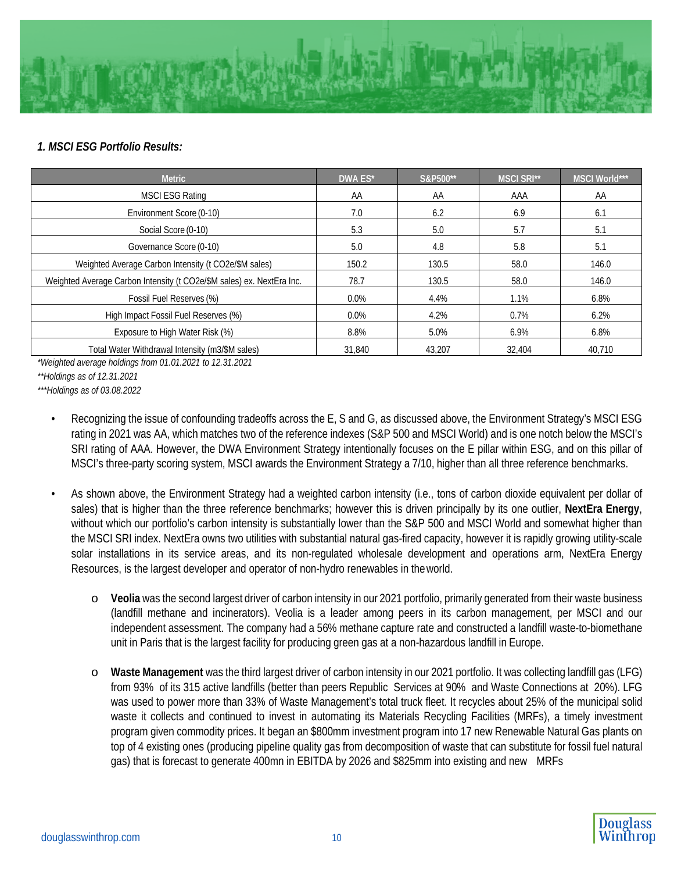

# *1. MSCI ESG Portfolio Results:*

| <b>Metric</b>                                                         | DWA ES* | S&P500** | <b>MSCI SRI**</b> | <b>MSCI World***</b> |
|-----------------------------------------------------------------------|---------|----------|-------------------|----------------------|
| <b>MSCI ESG Rating</b>                                                | AA      | AA       | AAA               | AA                   |
| Environment Score (0-10)                                              | 7.0     | 6.2      | 6.9               | 6.1                  |
| Social Score (0-10)                                                   | 5.3     | 5.0      | 5.7               | 5.1                  |
| Governance Score (0-10)                                               | 5.0     | 4.8      | 5.8               | 5.1                  |
| Weighted Average Carbon Intensity (t CO2e/\$M sales)                  | 150.2   | 130.5    | 58.0              | 146.0                |
| Weighted Average Carbon Intensity (t CO2e/\$M sales) ex. NextEra Inc. | 78.7    | 130.5    | 58.0              | 146.0                |
| Fossil Fuel Reserves (%)                                              | $0.0\%$ | 4.4%     | 1.1%              | 6.8%                 |
| High Impact Fossil Fuel Reserves (%)                                  | $0.0\%$ | 4.2%     | 0.7%              | 6.2%                 |
| Exposure to High Water Risk (%)                                       | 8.8%    | 5.0%     | 6.9%              | 6.8%                 |
| Total Water Withdrawal Intensity (m3/\$M sales)                       | 31,840  | 43.207   | 32.404            | 40.710               |

*\*Weighted average holdings from 01.01.2021 to 12.31.2021*

*\*\*Holdings as of 12.31.2021*

*\*\*\*Holdings as of 03.08.2022*

- Recognizing the issue of confounding tradeoffs across the E, S and G, as discussed above, the Environment Strategy's MSCI ESG rating in 2021 was AA, which matches two of the reference indexes (S&P 500 and MSCI World) and is one notch below the MSCI's SRI rating of AAA. However, the DWA Environment Strategy intentionally focuses on the E pillar within ESG, and on this pillar of MSCI's three-party scoring system, MSCI awards the Environment Strategy a 7/10, higher than all three reference benchmarks.
- As shown above, the Environment Strategy had a weighted carbon intensity (i.e., tons of carbon dioxide equivalent per dollar of sales) that is higher than the three reference benchmarks; however this is driven principally by its one outlier, **NextEra Energy**, without which our portfolio's carbon intensity is substantially lower than the S&P 500 and MSCI World and somewhat higher than the MSCI SRI index. NextEra owns two utilities with substantial natural gas-fired capacity, however it is rapidly growing utility-scale solar installations in its service areas, and its non-regulated wholesale development and operations arm, NextEra Energy Resources, is the largest developer and operator of non-hydro renewables in theworld.
	- o **Veolia** was the second largest driver of carbon intensity in our 2021 portfolio, primarily generated from their waste business (landfill methane and incinerators). Veolia is a leader among peers in its carbon management, per MSCI and our independent assessment. The company had a 56% methane capture rate and constructed a landfill waste-to-biomethane unit in Paris that is the largest facility for producing green gas at a non-hazardous landfill in Europe.
	- o **Waste Management** was the third largest driver of carbon intensity in our 2021 portfolio. It was collecting landfill gas (LFG) from 93% of its 315 active landfills (better than peers Republic Services at 90% and Waste Connections at 20%). LFG was used to power more than 33% of Waste Management's total truck fleet. It recycles about 25% of the municipal solid waste it collects and continued to invest in automating its Materials Recycling Facilities (MRFs), a timely investment program given commodity prices. It began an \$800mm investment program into 17 new Renewable Natural Gas plants on top of 4 existing ones (producing pipeline quality gas from decomposition of waste that can substitute for fossil fuel natural gas) that is forecast to generate 400mn in EBITDA by 2026 and \$825mm into existing and new MRFs

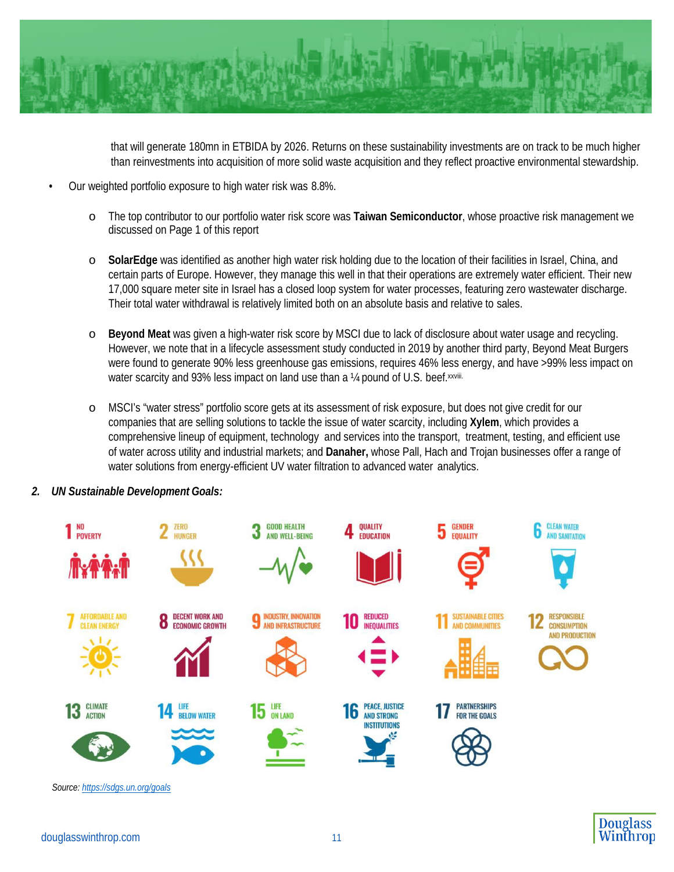

that will generate 180mn in ETBIDA by 2026. Returns on these sustainability investments are on track to be much higher than reinvestments into acquisition of more solid waste acquisition and they reflect proactive environmental stewardship.

- Our weighted portfolio exposure to high water risk was 8.8%.
	- o The top contributor to our portfolio water risk score was **Taiwan Semiconductor**, whose proactive risk management we discussed on Page 1 of this report
	- o **SolarEdge** was identified as another high water risk holding due to the location of their facilities in Israel, China, and certain parts of Europe. However, they manage this well in that their operations are extremely water efficient. Their new 17,000 square meter site in Israel has a closed loop system for water processes, featuring zero wastewater discharge. Their total water withdrawal is relatively limited both on an absolute basis and relative to sales.
	- o **Beyond Meat** was given a high-water risk score by MSCI due to lack of disclosure about water usage and recycling. However, we note that in a lifecycle assessment study conducted in 2019 by another third party, Beyond Meat Burgers were found to generate 90% less greenhouse gas emissions, requires 46% les[s en](#page-23-22)ergy, and have >99% less impact on water scarcity and 93% less impact on land use than a 1/4 pound of U.S. beef. xxviii.
	- o MSCI's "water stress" portfolio score gets at its assessment of risk exposure, but does not give credit for our companies that are selling solutions to tackle the issue of water scarcity, including **Xylem**, which provides a comprehensive lineup of equipment, technology and services into the transport, treatment, testing, and efficient use of water across utility and industrial markets; and **Danaher,** whose Pall, Hach and Trojan businesses offer a range of water solutions from energy-efficient UV water filtration to advanced water analytics.

# *2. UN Sustainable Development Goals:*



*Source: https://sdgs.un.org/goals*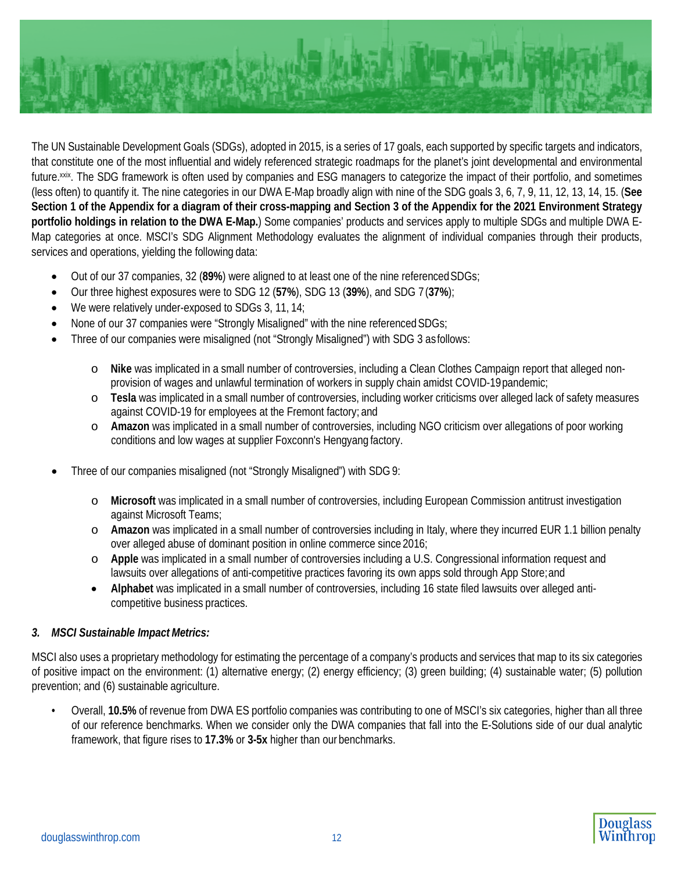

The UN Sustainable Development Goals (SDGs), adopted in 2015, is a series of 17 goals, each supported by specific targets and indicators, that constitute one of the most influential and widely referenced strategic roadmaps for the planet's joint developmental and environmental future[.xxix.](#page-23-23) The SDG framework is often used by companies and ESG managers to categorize the impact of their portfolio, and sometimes (less often) to quantify it. The nine categories in our DWA E-Map broadly align with nine of the SDG goals 3, 6, 7, 9, 11, 12, 13, 14, 15. (**See Section 1 of the Appendix for a diagram of their cross-mapping and Section 3 of the Appendix for the 2021 Environment Strategy portfolio holdings in relation to the DWA E-Map.**) Some companies' products and services apply to multiple SDGs and multiple DWA E-Map categories at once. MSCI's SDG Alignment Methodology evaluates the alignment of individual companies through their products, services and operations, yielding the following data:

- Out of our 37 companies, 32 (**89%**) were aligned to at least one of the nine referencedSDGs;
- Our three highest exposures were to SDG 12 (**57%**), SDG 13 (**39%**), and SDG 7(**37%**);
- We were relatively under-exposed to SDGs 3, 11, 14;
- None of our 37 companies were "Strongly Misaligned" with the nine referenced SDGs;
- Three of our companies were misaligned (not "Strongly Misaligned") with SDG 3 asfollows:
	- o **Nike** was implicated in a small number of controversies, including a Clean Clothes Campaign report that alleged nonprovision of wages and unlawful termination of workers in supply chain amidst COVID-19pandemic;
	- o **Tesla** was implicated in a small number of controversies, including worker criticisms over alleged lack of safety measures against COVID-19 for employees at the Fremont factory; and
	- o **Amazon** was implicated in a small number of controversies, including NGO criticism over allegations of poor working conditions and low wages at supplier Foxconn's Hengyang factory.
- Three of our companies misaligned (not "Strongly Misaligned") with SDG9:
	- o **Microsoft** was implicated in a small number of controversies, including European Commission antitrust investigation against Microsoft Teams;
	- o **Amazon** was implicated in a small number of controversies including in Italy, where they incurred EUR 1.1 billion penalty over alleged abuse of dominant position in online commerce since 2016;
	- o **Apple** was implicated in a small number of controversies including a U.S. Congressional information request and lawsuits over allegations of anti-competitive practices favoring its own apps sold through App Store; and
	- **Alphabet** was implicated in a small number of controversies, including 16 state filed lawsuits over alleged anticompetitive business practices.

# *3. MSCI Sustainable Impact Metrics:*

MSCI also uses a proprietary methodology for estimating the percentage of a company's products and services that map to its six categories of positive impact on the environment: (1) alternative energy; (2) energy efficiency; (3) green building; (4) sustainable water; (5) pollution prevention; and (6) sustainable agriculture.

• Overall, **10.5%** of revenue from DWA ES portfolio companies was contributing to one of MSCI's six categories, higher than all three of our reference benchmarks. When we consider only the DWA companies that fall into the E-Solutions side of our dual analytic framework, that figure rises to **17.3%** or **3-5x** higher than our benchmarks.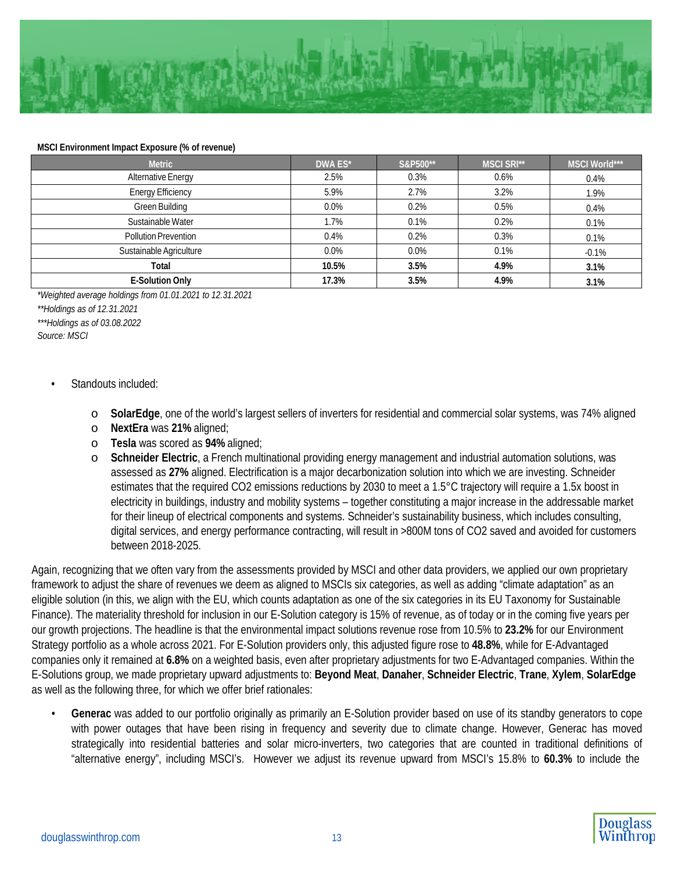

#### **MSCI Environment Impact Exposure (% of revenue)**

| <b>Metric</b>               | DWA ES* | S&P500** | <b>MSCI SRI**</b> | <b>MSCI World***</b> |
|-----------------------------|---------|----------|-------------------|----------------------|
| <b>Alternative Energy</b>   | 2.5%    | 0.3%     | 0.6%              | 0.4%                 |
| <b>Energy Efficiency</b>    | 5.9%    | 2.7%     | 3.2%              | 1.9%                 |
| <b>Green Building</b>       | 0.0%    | 0.2%     | 0.5%              | 0.4%                 |
| Sustainable Water           | 1.7%    | 0.1%     | 0.2%              | 0.1%                 |
| <b>Pollution Prevention</b> | 0.4%    | 0.2%     | 0.3%              | 0.1%                 |
| Sustainable Agriculture     | 0.0%    | $0.0\%$  | 0.1%              | $-0.1%$              |
| Total                       | 10.5%   | 3.5%     | 4.9%              | 3.1%                 |
| E-Solution Only             | 17.3%   | 3.5%     | 4.9%              | 3.1%                 |

*\*Weighted average holdings from 01.01.2021 to 12.31.2021*

*\*\*Holdings as of 12.31.2021*

*\*\*\*Holdings as of 03.08.2022 Source: MSCI*

# • Standouts included:

- o **SolarEdge**, one of the world's largest sellers of inverters for residential and commercial solar systems, was 74% aligned
- o **NextEra** was **21%** aligned;
- o **Tesla** was scored as **94%** aligned;
- o **Schneider Electric**, a French multinational providing energy management and industrial automation solutions, was assessed as **27%** aligned. Electrification is a major decarbonization solution into which we are investing. Schneider estimates that the required CO2 emissions reductions by 2030 to meet a 1.5°C trajectory will require a 1.5x boost in electricity in buildings, industry and mobility systems – together constituting a major increase in the addressable market for their lineup of electrical components and systems. Schneider's sustainability business, which includes consulting, digital services, and energy performance contracting, will result in >800M tons of CO2 saved and avoided for customers between 2018-2025.

Again, recognizing that we often vary from the assessments provided by MSCI and other data providers, we applied our own proprietary framework to adjust the share of revenues we deem as aligned to MSCIs six categories, as well as adding "climate adaptation" as an eligible solution (in this, we align with the EU, which counts adaptation as one of the six categories in its EU Taxonomy for Sustainable Finance). The materiality threshold for inclusion in our E-Solution category is 15% of revenue, as of today or in the coming five years per our growth projections. The headline is that the environmental impact solutions revenue rose from 10.5% to **23.2%** for our Environment Strategy portfolio as a whole across 2021. For E-Solution providers only, this adjusted figure rose to **48.8%**, while for E-Advantaged companies only it remained at **6.8%** on a weighted basis, even after proprietary adjustments for two E-Advantaged companies. Within the E-Solutions group, we made proprietary upward adjustments to: **Beyond Meat**, **Danaher**, **Schneider Electric**, **Trane**, **Xylem**, **SolarEdge**  as well as the following three, for which we offer brief rationales:

• **Generac** was added to our portfolio originally as primarily an E-Solution provider based on use of its standby generators to cope with power outages that have been rising in frequency and severity due to climate change. However, Generac has moved strategically into residential batteries and solar micro-inverters, two categories that are counted in traditional definitions of "alternative energy", including MSCI's. However we adjust its revenue upward from MSCI's 15.8% to **60.3%** to include the

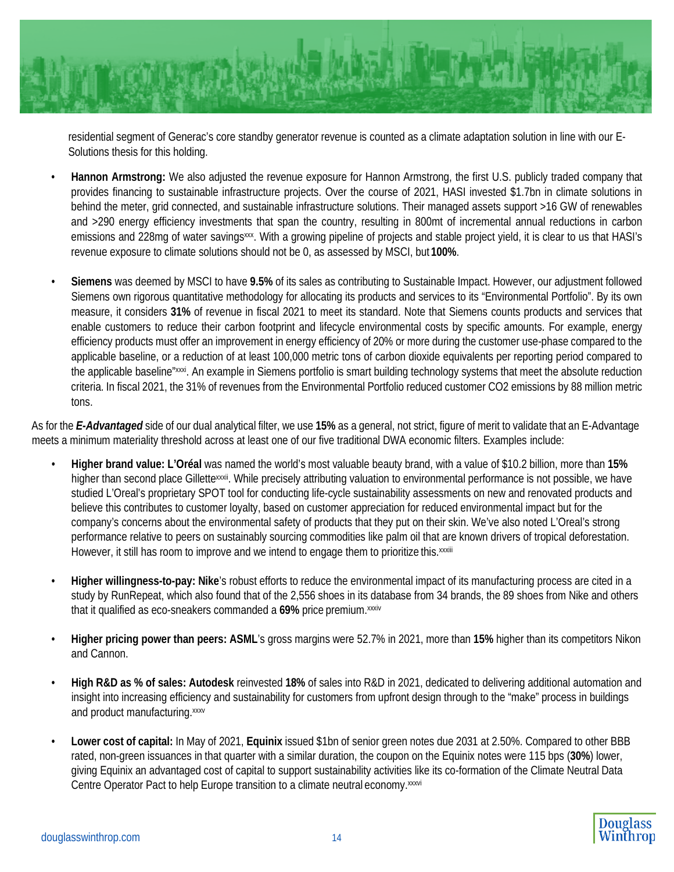

residential segment of Generac's core standby generator revenue is counted as a climate adaptation solution in line with our E-Solutions thesis for this holding.

- **Hannon Armstrong:** We also adjusted the revenue exposure for Hannon Armstrong, the first U.S. publicly traded company that provides financing to sustainable infrastructure projects. Over the course of 2021, HASI invested \$1.7bn in climate solutions in behind the meter, grid connected, and sustainable infrastructure solutions. Their managed assets support >16 GW of renewables and >290 energy efficiency investments that span the country, resulting in 800mt of incremental annual reductions in carbon emissions and 228mg of water savings<sup>xxx</sup>. With a growing pipeline of projects and stable project yield, it is clear to us that HASI's revenue exposure to climate solutions should not be 0, as assessed by MSCI, but **100%**.
- **Siemens** was deemed by MSCI to have **9.5%** of its sales as contributing to Sustainable Impact. However, our adjustment followed Siemens own rigorous quantitative methodology for allocating its products and services to its "Environmental Portfolio". By its own measure, it considers **31%** of revenue in fiscal 2021 to meet its standard. Note that Siemens counts products and services that enable customers to reduce their carbon footprint and lifecycle environmental costs by specific amounts. For example, energy efficiency products must offer an improvement in energy efficiency of 20% or more during the customer use-phase compared to the applicable baseline, or a reduction of at least 100,000 metric tons of carbon dioxide equivalents per reporting period compared to the applicable baseline["xxxi.](#page-23-25) An example in Siemens portfolio is smart building technology systems that meet the absolute reduction criteria. In fiscal 2021, the 31% of revenues from the Environmental Portfolio reduced customer CO2 emissions by 88 million metric tons.

As for the *E-Advantaged* side of our dual analytical filter, we use **15%** as a general, not strict, figure of merit to validate that an E-Advantage meets a minimum materiality threshold across at least one of our five traditional DWA economic filters. Examples include:

- **Higher brand value: L'Oréal** was named the world's most valuable beauty brand, with a value of \$10.2 billion, more than **15%**  higher than second place Gillettexxxii. While precisely attributing valuation to environmental performance is not possible, we have studied L'Oreal's proprietary SPOT tool for conducting life-cycle sustainability assessments on new and renovated products and believe this contributes to customer loyalty, based on customer appreciation for reduced environmental impact but for the company's concerns about the environmental safety of products that they put on their skin. We've also noted L'Oreal's strong performance relative to peers on sustainably sourcing commodities like palm oil that are known drivers of tropical deforestation. However, it still has room to improve and we intend to engage them to prioritize this. xxxiii
- **Higher willingness-to-pay: Nike**'s robust efforts to reduce the environmental impact of its manufacturing process are cited in a study by RunRepeat, which also found that of the 2,556 shoes in its database from 34 brands, the 89 shoes from Nike and others that it qualified as eco-sneakers commanded a **69%** price premium.xxxiv
- **Higher pricing power than peers: ASML**'s gross margins were 52.7% in 2021, more than **15%** higher than its competitors Nikon and Cannon.
- **High R&D as % of sales: Autodesk** reinvested **18%** of sales into R&D in 2021, dedicated to delivering additional automation and insight into increasing efficiency and sustainability for customers from upfront design through to the "make" process in buildings and product manufacturin[g.xxxv](#page-23-26)
- **Lower cost of capital:** In May of 2021, **Equinix** issued \$1bn of senior green notes due 2031 at 2.50%. Compared to other BBB rated, non-green issuances in that quarter with a similar duration, the coupon on the Equinix notes were 115 bps (**30%**) lower, giving Equinix an advantaged cost of capital to support sustainability activities like its co-formation of the Climate Neutral Data Centre Operator Pact to help Europe transition to a climate neutral economy.<sup>xxxvi</sup>

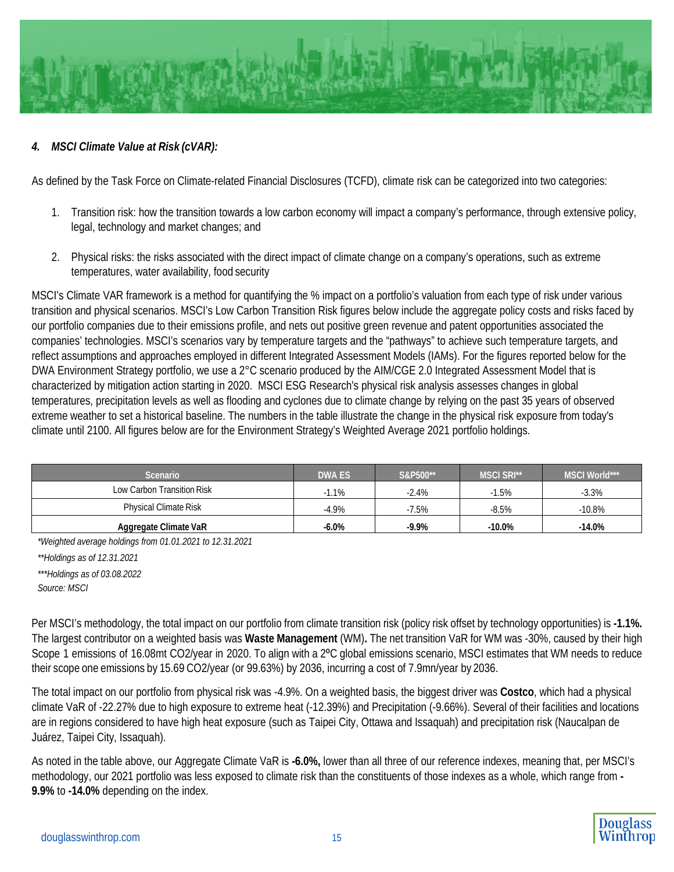

# *4. MSCI Climate Value at Risk (cVAR):*

As defined by the Task Force on Climate-related Financial Disclosures (TCFD), climate risk can be categorized into two categories:

- 1. Transition risk: how the transition towards a low carbon economy will impact a company's performance, through extensive policy, legal, technology and market changes; and
- 2. Physical risks: the risks associated with the direct impact of climate change on a company's operations, such as extreme temperatures, water availability, food security

MSCI's Climate VAR framework is a method for quantifying the % impact on a portfolio's valuation from each type of risk under various transition and physical scenarios. MSCI's Low Carbon Transition Risk figures below include the aggregate policy costs and risks faced by our portfolio companies due to their emissions profile, and nets out positive green revenue and patent opportunities associated the companies' technologies. MSCI's scenarios vary by temperature targets and the "pathways" to achieve such temperature targets, and reflect assumptions and approaches employed in different Integrated Assessment Models (IAMs). For the figures reported below for the DWA Environment Strategy portfolio, we use a 2°C scenario produced by the AIM/CGE 2.0 Integrated Assessment Model that is characterized by mitigation action starting in 2020. MSCI ESG Research's physical risk analysis assesses changes in global temperatures, precipitation levels as well as flooding and cyclones due to climate change by relying on the past 35 years of observed extreme weather to set a historical baseline. The numbers in the table illustrate the change in the physical risk exposure from today's climate until 2100. All figures below are for the Environment Strategy's Weighted Average 2021 portfolio holdings.

| Scenario                     | <b>DWA ES</b> | S&P500** | <b>MSCI SRI**</b> | <b>MSCI World***</b> |
|------------------------------|---------------|----------|-------------------|----------------------|
| Low Carbon Transition Risk   | $-1.1%$       | $-2.4%$  | $-1.5%$           | $-3.3%$              |
| <b>Physical Climate Risk</b> | $-4.9%$       | $-7.5%$  | $-8.5%$           | $-10.8%$             |
| Aggregate Climate VaR        | $-6.0%$       | $-9.9%$  | $-10.0\%$         | $-14.0%$             |

*\*Weighted average holdings from 01.01.2021 to 12.31.2021*

*Source: MSCI*

Per MSCI's methodology, the total impact on our portfolio from climate transition risk (policy risk offset by technology opportunities) is **-1.1%.**  The largest contributor on a weighted basis was **Waste Management** (WM)**.** The net transition VaR for WM was -30%, caused by their high Scope 1 emissions of 16.08mt CO2/year in 2020. To align with a 2°C global emissions scenario, MSCI estimates that WM needs to reduce their scope one emissions by 15.69 CO2/year (or 99.63%) by 2036, incurring a cost of 7.9mn/year by 2036.

The total impact on our portfolio from physical risk was -4.9%. On a weighted basis, the biggest driver was **Costco**, which had a physical climate VaR of -22.27% due to high exposure to extreme heat (-12.39%) and Precipitation (-9.66%). Several of their facilities and locations are in regions considered to have high heat exposure (such as Taipei City, Ottawa and Issaquah) and precipitation risk (Naucalpan de Juárez, Taipei City, Issaquah).

As noted in the table above, our Aggregate Climate VaR is **-6.0%,** lower than all three of our reference indexes, meaning that, per MSCI's methodology, our 2021 portfolio was less exposed to climate risk than the constituents of those indexes as a whole, which range from **- 9.9%** to **-14.0%** depending on the index.



*<sup>\*\*</sup>Holdings as of 12.31.2021*

*<sup>\*\*\*</sup>Holdings as of 03.08.2022*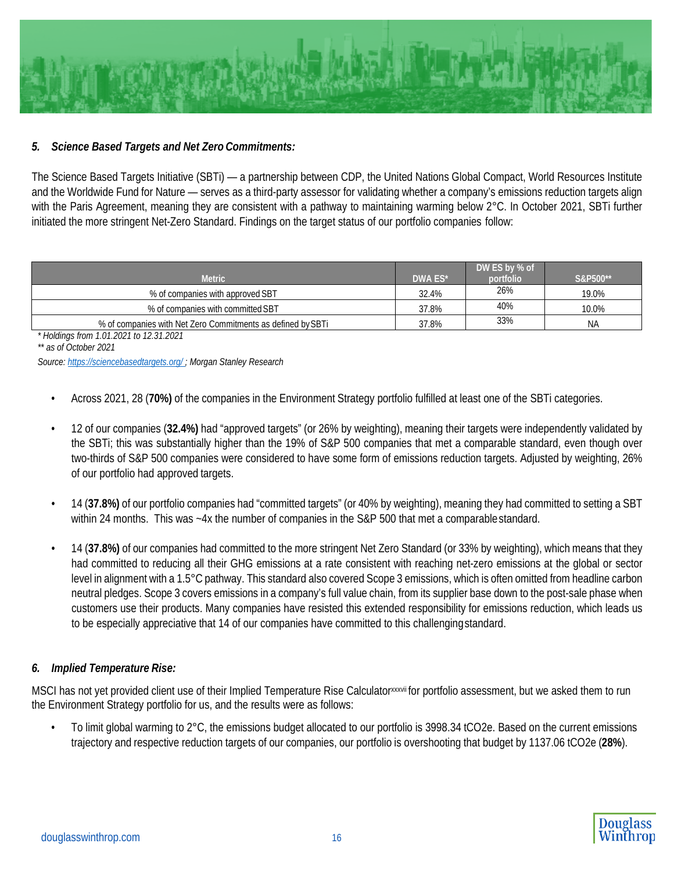

### *5. Science Based Targets and Net Zero Commitments:*

The Science Based Targets Initiative (SBTi) — a partnership between CDP, the United Nations Global Compact, World Resources Institute and the Worldwide Fund for Nature - serves as a third-party assessor for validating whether a company's emissions reduction targets align with the Paris Agreement, meaning they are consistent with a pathway to maintaining warming below 2°C. In October 2021, SBTi further initiated the more stringent Net-Zero Standard. Findings on the target status of our portfolio companies follow:

| <b>Metric</b>                                               | DWA ES* | DW ES by % of<br>portfolio | S&P500**  |
|-------------------------------------------------------------|---------|----------------------------|-----------|
| % of companies with approved SBT                            | 32.4%   | 26%                        | 19.0%     |
| % of companies with committed SBT                           | 37.8%   | 40%                        | 10.0%     |
| % of companies with Net Zero Commitments as defined by SBTi | 37.8%   | 33%                        | <b>NA</b> |

*\* Holdings from 1.01.2021 to 12.31.2021*

*Source[: https://sciencebasedtargets.org/ ;](https://sciencebasedtargets.org/) Morgan Stanley Research*

- Across 2021, 28 (**70%)** of the companies in the Environment Strategy portfolio fulfilled at least one of the SBTi categories.
- 12 of our companies (**32.4%)** had "approved targets" (or 26% by weighting), meaning their targets were independently validated by the SBTi; this was substantially higher than the 19% of S&P 500 companies that met a comparable standard, even though over two-thirds of S&P 500 companies were considered to have some form of emissions reduction targets. Adjusted by weighting, 26% of our portfolio had approved targets.
- 14 (**37.8%)** of our portfolio companies had "committed targets" (or 40% by weighting), meaning they had committed to setting a SBT within 24 months. This was ~4x the number of companies in the S&P 500 that met a comparable standard.
- 14 (**37.8%)** of our companies had committed to the more stringent Net Zero Standard (or 33% by weighting), which means that they had committed to reducing all their GHG emissions at a rate consistent with reaching net-zero emissions at the global or sector level in alignment with a 1.5°C pathway. This standard also covered Scope 3 emissions, which is often omitted from headline carbon neutral pledges. Scope 3 covers emissions in a company's full value chain, from its supplier base down to the post-sale phase when customers use their products. Many companies have resisted this extended responsibility for emissions reduction, which leads us to be especially appreciative that 14 of our companies have committed to this challengingstandard.

# *6. Implied Temperature Rise:*

MSCI has not yet provided client use of their Implied Temperature Rise Calculator<sup>xxxvii</sup> for portfolio assessment, but we asked them to run the Environment Strategy portfolio for us, and the results were as follows:

• To limit global warming to 2°C, the emissions budget allocated to our portfolio is 3998.34 tCO2e. Based on the current emissions trajectory and respective reduction targets of our companies, our portfolio is overshooting that budget by 1137.06 tCO2e (**28%**).

*<sup>\*\*</sup> as of October 2021*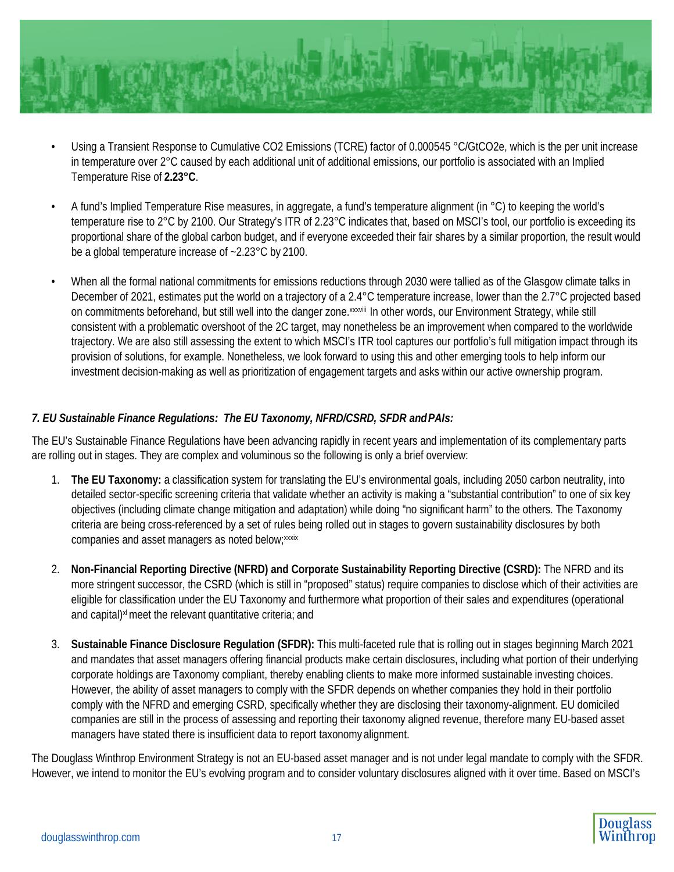

- Using a Transient Response to Cumulative CO2 Emissions (TCRE) factor of 0.000545 °C/GtCO2e, which is the per unit increase in temperature over 2°C caused by each additional unit of additional emissions, our portfolio is associated with an Implied Temperature Rise of **2.23°C**.
- A fund's Implied Temperature Rise measures, in aggregate, a fund's temperature alignment (in °C) to keeping the world's temperature rise to 2°C by 2100. Our Strategy's ITR of 2.23°C indicates that, based on MSCI's tool, our portfolio is exceeding its proportional share of the global carbon budget, and if everyone exceeded their fair shares by a similar proportion, the result would be a global temperature increase of ~2.23°C by 2100.
- When all the formal national commitments for emissions reductions through 2030 were tallied as of the Glasgow climate talks in December of 2021, estimates put the world on a trajectory of a 2.4°C temperature increase, lower than the 2.7°C projected based on commitments beforehand, but still well into the danger zone.<sup>xxxviii</sup> In other words, our Environment Strategy, while still consistent with a problematic overshoot of the 2C target, may nonetheless be an improvement when compared to the worldwide trajectory. We are also still assessing the extent to which MSCI's ITR tool captures our portfolio's full mitigation impact through its provision of solutions, for example. Nonetheless, we look forward to using this and other emerging tools to help inform our investment decision-making as well as prioritization of engagement targets and asks within our active ownership program.

# *7. EU Sustainable Finance Regulations: The EU Taxonomy, NFRD/CSRD, SFDR andPAIs:*

The EU's Sustainable Finance Regulations have been advancing rapidly in recent years and implementation of its complementary parts are rolling out in stages. They are complex and voluminous so the following is only a brief overview:

- 1. **The EU Taxonomy:** a classification system for translating the EU's environmental goals, including 2050 carbon neutrality, into detailed sector-specific screening criteria that validate whether an activity is making a "substantial contribution" to one of six key objectives (including climate change mitigation and adaptation) while doing "no significant harm" to the others. The Taxonomy criteria are being cross-referenced by a set of rules being rolled out in stages to govern sustainability disclosures by both companies and asset managers as noted below; xxxix
- 2. **Non-Financial Reporting Directive (NFRD) and Corporate Sustainability Reporting Directive (CSRD):** The NFRD and its more stringent successor, the CSRD (which is still in "proposed" status) require companies to disclose which of their activities are eligible for classification under the EU Taxonomy and furthermore what proportion of their sales and expenditures (operational and capital)<sup>xl</sup> meet the relevant quantitative criteria; and
- 3. **Sustainable Finance Disclosure Regulation (SFDR):** This multi-faceted rule that is rolling out in stages beginning March 2021 and mandates that asset managers offering financial products make certain disclosures, including what portion of their underlying corporate holdings are Taxonomy compliant, thereby enabling clients to make more informed sustainable investing choices. However, the ability of asset managers to comply with the SFDR depends on whether companies they hold in their portfolio comply with the NFRD and emerging CSRD, specifically whether they are disclosing their taxonomy-alignment. EU domiciled companies are still in the process of assessing and reporting their taxonomy aligned revenue, therefore many EU-based asset managers have stated there is insufficient data to report taxonomy alignment.

The Douglass Winthrop Environment Strategy is not an EU-based asset manager and is not under legal mandate to comply with the SFDR. However, we intend to monitor the EU's evolving program and to consider voluntary disclosures aligned with it over time. Based on MSCI's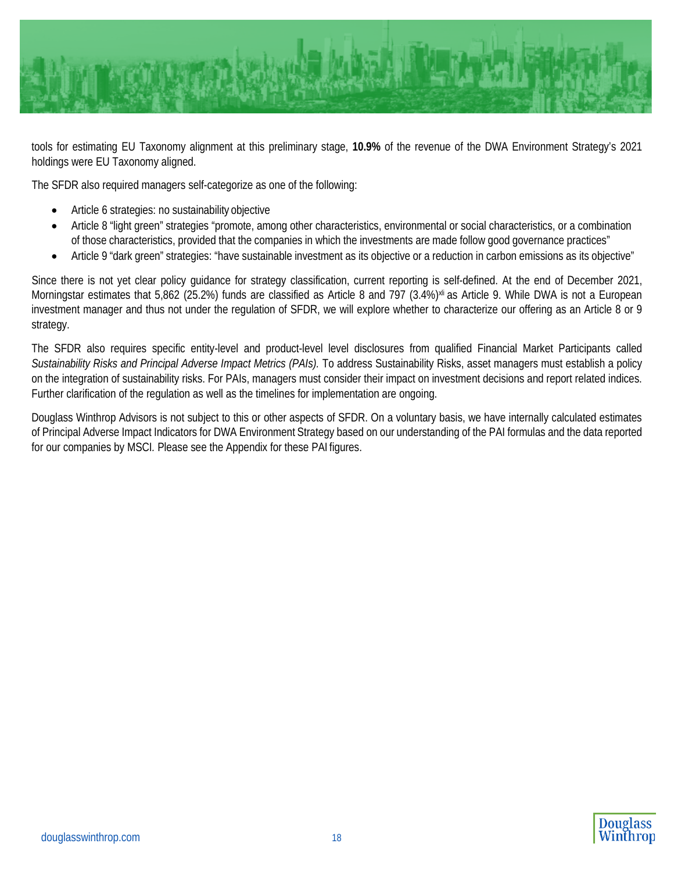

tools for estimating EU Taxonomy alignment at this preliminary stage, **10.9%** of the revenue of the DWA Environment Strategy's 2021 holdings were EU Taxonomy aligned.

The SFDR also required managers self-categorize as one of the following:

- Article 6 strategies: no sustainability objective
- Article 8 "light green" strategies "promote, among other characteristics, environmental or social characteristics, or a combination of those characteristics, provided that the companies in which the investments are made follow good governance practices"
- Article 9 "dark green" strategies: "have sustainable investment as its objective or a reduction in carbon emissions as its objective"

Since there is not yet clear policy guidance for strategy classification, current reporting is self-defined. At the end of December 2021, Morningstar estimates that 5,862 (25.2%) funds are classified as Article 8 and 797 (3.4%)<sup>xii</sup> as Article 9. While DWA is not a European investment manager and thus not under the regulation of SFDR, we will explore whether to characterize our offering as an Article 8 or 9 strategy.

The SFDR also requires specific entity-level and product-level level disclosures from qualified Financial Market Participants called *Sustainability Risks and Principal Adverse Impact Metrics (PAIs).* To address Sustainability Risks, asset managers must establish a policy on the integration of sustainability risks. For PAIs, managers must consider their impact on investment decisions and report related indices. Further clarification of the regulation as well as the timelines for implementation are ongoing.

Douglass Winthrop Advisors is not subject to this or other aspects of SFDR. On a voluntary basis, we have internally calculated estimates of Principal Adverse Impact Indicators for DWA Environment Strategy based on our understanding of the PAI formulas and the data reported for our companies by MSCI*.* Please see the Appendix for these PAI figures.

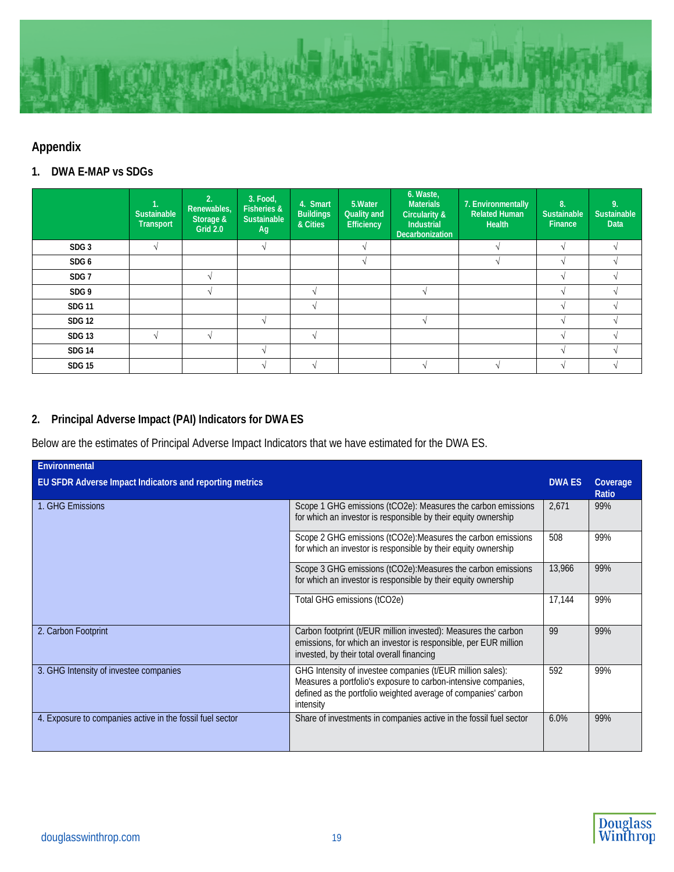

# **Appendix**

**1. DWA E-MAP vs SDGs**

|                  | Sustainable<br>Transport | 2.<br>Renewables,<br>Storage &<br>Grid 2.0 | 3. Food,<br>Fisheries &<br>Sustainable<br>Ag | 4. Smart<br><b>Buildings</b><br>& Cities | 5. Water<br><b>Quality and</b><br><b>Efficiency</b> | 6. Waste,<br><b>Materials</b><br><b>Circularity &amp;</b><br><b>Industrial</b><br><b>Decarbonization</b> | 7. Environmentally<br><b>Related Human</b><br><b>Health</b> | 8.<br>Sustainable<br>Finance | 9.<br>Sustainable<br><b>Data</b> |
|------------------|--------------------------|--------------------------------------------|----------------------------------------------|------------------------------------------|-----------------------------------------------------|----------------------------------------------------------------------------------------------------------|-------------------------------------------------------------|------------------------------|----------------------------------|
| SDG <sub>3</sub> |                          |                                            |                                              |                                          |                                                     |                                                                                                          |                                                             |                              |                                  |
| SDG 6            |                          |                                            |                                              |                                          |                                                     |                                                                                                          |                                                             |                              |                                  |
| SDG <sub>7</sub> |                          |                                            |                                              |                                          |                                                     |                                                                                                          |                                                             |                              |                                  |
| SDG 9            |                          |                                            |                                              | $\overline{\phantom{a}}$                 |                                                     |                                                                                                          |                                                             |                              |                                  |
| <b>SDG 11</b>    |                          |                                            |                                              |                                          |                                                     |                                                                                                          |                                                             |                              |                                  |
| <b>SDG 12</b>    |                          |                                            |                                              |                                          |                                                     |                                                                                                          |                                                             |                              |                                  |
| <b>SDG 13</b>    |                          |                                            |                                              |                                          |                                                     |                                                                                                          |                                                             |                              |                                  |
| <b>SDG 14</b>    |                          |                                            |                                              |                                          |                                                     |                                                                                                          |                                                             |                              |                                  |
| <b>SDG 15</b>    |                          |                                            |                                              |                                          |                                                     |                                                                                                          |                                                             |                              |                                  |

# **2. Principal Adverse Impact (PAI) Indicators for DWAES**

Below are the estimates of Principal Adverse Impact Indicators that we have estimated for the DWA ES.

| Environmental                                             |                                                                                                                                                                                                             |               |                   |
|-----------------------------------------------------------|-------------------------------------------------------------------------------------------------------------------------------------------------------------------------------------------------------------|---------------|-------------------|
| EU SFDR Adverse Impact Indicators and reporting metrics   |                                                                                                                                                                                                             | <b>DWA ES</b> | Coverage<br>Ratio |
| 1. GHG Emissions                                          | Scope 1 GHG emissions (tCO2e): Measures the carbon emissions<br>for which an investor is responsible by their equity ownership                                                                              | 2,671         | 99%               |
|                                                           | Scope 2 GHG emissions (tCO2e): Measures the carbon emissions<br>for which an investor is responsible by their equity ownership                                                                              | 508           | 99%               |
|                                                           | Scope 3 GHG emissions (tCO2e): Measures the carbon emissions<br>for which an investor is responsible by their equity ownership                                                                              | 13,966        | 99%               |
|                                                           | Total GHG emissions (tCO2e)                                                                                                                                                                                 | 17,144        | 99%               |
| 2. Carbon Footprint                                       | Carbon footprint (t/EUR million invested): Measures the carbon<br>emissions, for which an investor is responsible, per EUR million<br>invested, by their total overall financing                            | 99            | 99%               |
| 3. GHG Intensity of investee companies                    | GHG Intensity of investee companies (t/EUR million sales):<br>Measures a portfolio's exposure to carbon-intensive companies,<br>defined as the portfolio weighted average of companies' carbon<br>intensity | 592           | 99%               |
| 4. Exposure to companies active in the fossil fuel sector | Share of investments in companies active in the fossil fuel sector                                                                                                                                          | 6.0%          | 99%               |

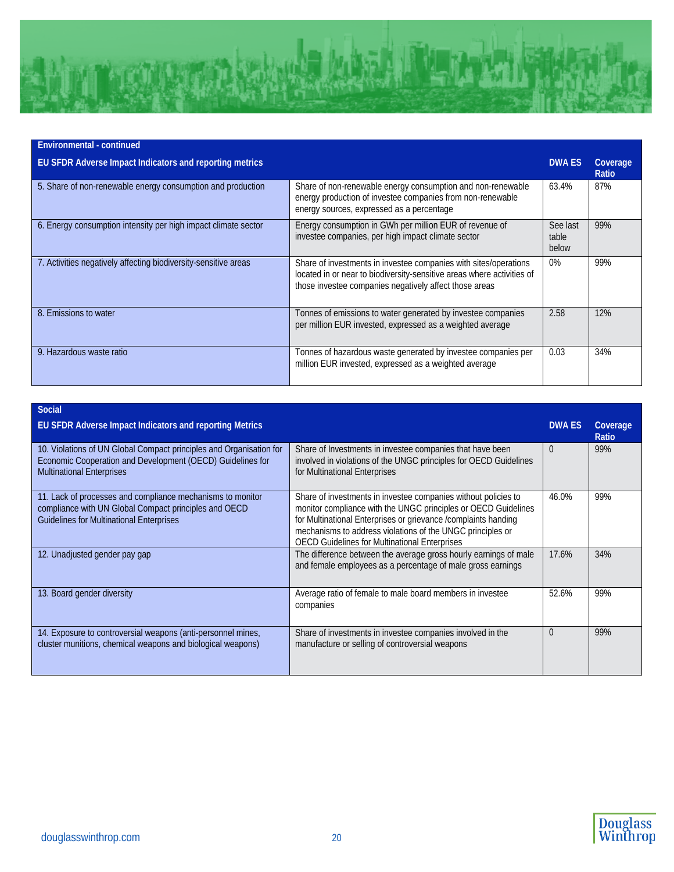

| Environmental - continued                                       |                                                                                                                                                                                                      |                            |                   |
|-----------------------------------------------------------------|------------------------------------------------------------------------------------------------------------------------------------------------------------------------------------------------------|----------------------------|-------------------|
| EU SFDR Adverse Impact Indicators and reporting metrics         |                                                                                                                                                                                                      | <b>DWA ES</b>              | Coverage<br>Ratio |
| 5. Share of non-renewable energy consumption and production     | Share of non-renewable energy consumption and non-renewable<br>energy production of investee companies from non-renewable<br>energy sources, expressed as a percentage                               | 63.4%                      | 87%               |
| 6. Energy consumption intensity per high impact climate sector  | Energy consumption in GWh per million EUR of revenue of<br>investee companies, per high impact climate sector                                                                                        | See last<br>table<br>below | 99%               |
| 7. Activities negatively affecting biodiversity-sensitive areas | Share of investments in investee companies with sites/operations<br>located in or near to biodiversity-sensitive areas where activities of<br>those investee companies negatively affect those areas | $0\%$                      | 99%               |
| 8. Emissions to water                                           | Tonnes of emissions to water generated by investee companies<br>per million EUR invested, expressed as a weighted average                                                                            | 2.58                       | 12%               |
| 9. Hazardous waste ratio                                        | Tonnes of hazardous waste generated by investee companies per<br>million EUR invested, expressed as a weighted average                                                                               | 0.03                       | 34%               |

| Social                                                                                                                                                                 |                                                                                                                                                                                                                                                                                                                          |               |                   |
|------------------------------------------------------------------------------------------------------------------------------------------------------------------------|--------------------------------------------------------------------------------------------------------------------------------------------------------------------------------------------------------------------------------------------------------------------------------------------------------------------------|---------------|-------------------|
| <b>EU SFDR Adverse Impact Indicators and reporting Metrics</b>                                                                                                         |                                                                                                                                                                                                                                                                                                                          | <b>DWA ES</b> | Coverage<br>Ratio |
| 10. Violations of UN Global Compact principles and Organisation for<br>Economic Cooperation and Development (OECD) Guidelines for<br><b>Multinational Enterprises</b>  | Share of Investments in investee companies that have been<br>involved in violations of the UNGC principles for OECD Guidelines<br>for Multinational Enterprises                                                                                                                                                          | $\Omega$      | 99%               |
| 11. Lack of processes and compliance mechanisms to monitor<br>compliance with UN Global Compact principles and OECD<br><b>Guidelines for Multinational Enterprises</b> | Share of investments in investee companies without policies to<br>monitor compliance with the UNGC principles or OECD Guidelines<br>for Multinational Enterprises or grievance /complaints handing<br>mechanisms to address violations of the UNGC principles or<br><b>OECD Guidelines for Multinational Enterprises</b> | 46.0%         | 99%               |
| 12. Unadjusted gender pay gap                                                                                                                                          | The difference between the average gross hourly earnings of male<br>and female employees as a percentage of male gross earnings                                                                                                                                                                                          | 17.6%         | 34%               |
| 13. Board gender diversity                                                                                                                                             | Average ratio of female to male board members in investee<br>companies                                                                                                                                                                                                                                                   | 52.6%         | 99%               |
| 14. Exposure to controversial weapons (anti-personnel mines,<br>cluster munitions, chemical weapons and biological weapons)                                            | Share of investments in investee companies involved in the<br>manufacture or selling of controversial weapons                                                                                                                                                                                                            | $\Omega$      | 99%               |

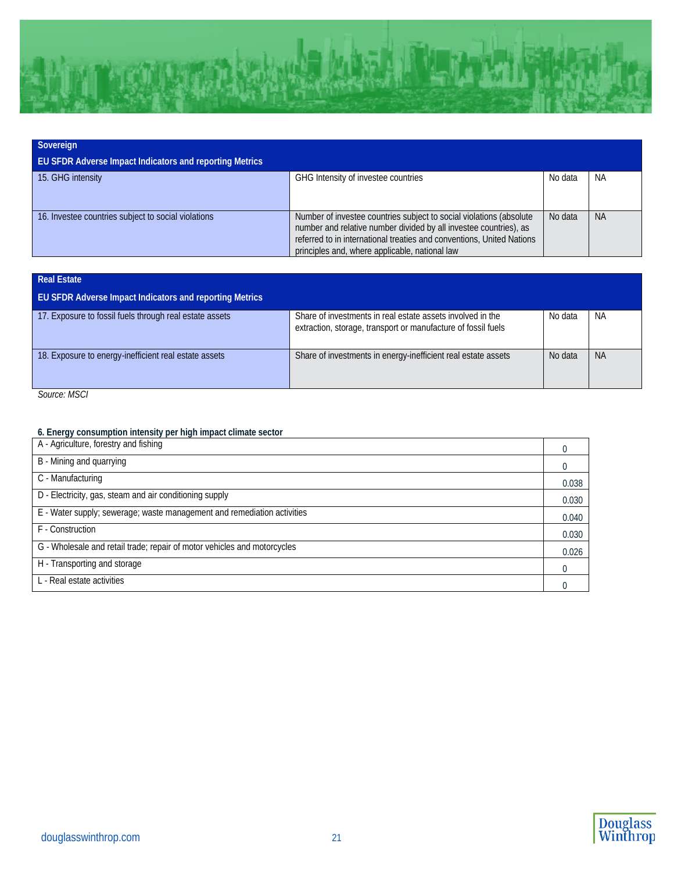

| Sovereign                                                      |                                                                                                                                                                                                                                                                     |         |           |  |  |  |  |
|----------------------------------------------------------------|---------------------------------------------------------------------------------------------------------------------------------------------------------------------------------------------------------------------------------------------------------------------|---------|-----------|--|--|--|--|
| <b>EU SFDR Adverse Impact Indicators and reporting Metrics</b> |                                                                                                                                                                                                                                                                     |         |           |  |  |  |  |
| 15. GHG intensity                                              | GHG Intensity of investee countries                                                                                                                                                                                                                                 | No data | NA        |  |  |  |  |
| 16. Investee countries subject to social violations            | Number of investee countries subject to social violations (absolute<br>number and relative number divided by all investee countries), as<br>referred to in international treaties and conventions, United Nations<br>principles and, where applicable, national law | No data | <b>NA</b> |  |  |  |  |

| <b>Real Estate</b>                                             |                                                                                                                             |         |           |
|----------------------------------------------------------------|-----------------------------------------------------------------------------------------------------------------------------|---------|-----------|
| <b>EU SFDR Adverse Impact Indicators and reporting Metrics</b> |                                                                                                                             |         |           |
| 17. Exposure to fossil fuels through real estate assets        | Share of investments in real estate assets involved in the<br>extraction, storage, transport or manufacture of fossil fuels | No data | <b>NA</b> |
| 18. Exposure to energy-inefficient real estate assets          | Share of investments in energy-inefficient real estate assets                                                               | No data | <b>NA</b> |

*Source: MSCI*

### **6. Energy consumption intensity per high impact climate sector**

| A - Agriculture, forestry and fishing                                    |       |
|--------------------------------------------------------------------------|-------|
| B - Mining and quarrying                                                 |       |
| C - Manufacturing                                                        | 0.038 |
| D - Electricity, gas, steam and air conditioning supply                  | 0.030 |
| E - Water supply; sewerage; waste management and remediation activities  | 0.040 |
| F - Construction                                                         | 0.030 |
| G - Wholesale and retail trade; repair of motor vehicles and motorcycles | 0.026 |
| H - Transporting and storage                                             |       |
| L - Real estate activities                                               |       |

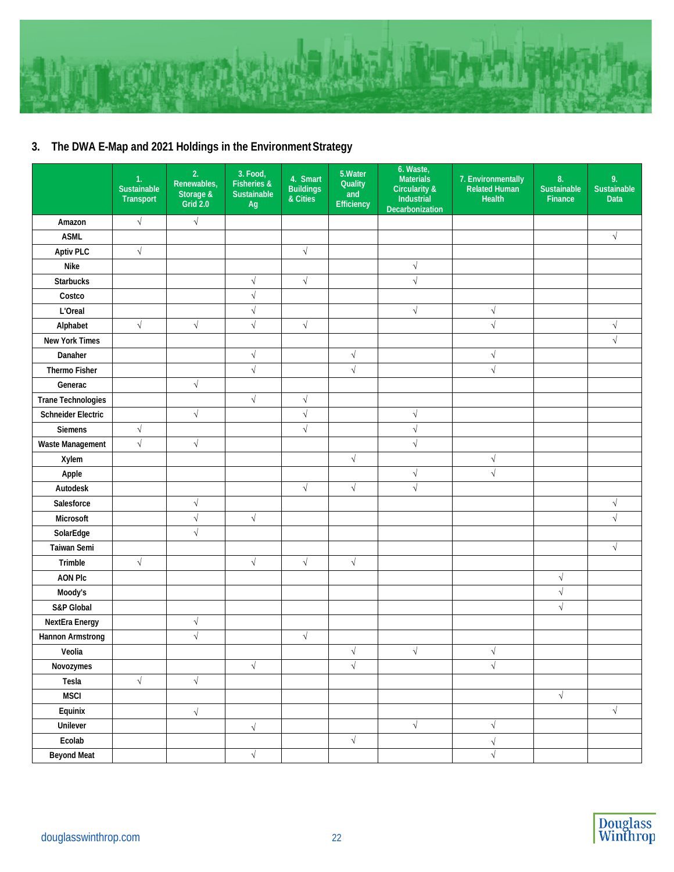

# **3. The DWA E-Map and 2021 Holdings in the EnvironmentStrategy**

|                           | 1.<br>Sustainable<br>Transport | 2.<br>Renewables,<br>Storage &<br>Grid 2.0 | 3. Food,<br>Fisheries &<br>Sustainable<br>Ag | 4. Smart<br><b>Buildings</b><br>& Cities | 5.Water<br><b>Quality</b><br>and<br>Efficiency | 6. Waste,<br><b>Materials</b><br><b>Circularity &amp;</b><br>Industrial<br>Decarbonization | 7. Environmentally<br>Related Human<br><b>Health</b> | 8.<br>Sustainable<br>Finance | 9.<br>Sustainable<br><b>Data</b> |
|---------------------------|--------------------------------|--------------------------------------------|----------------------------------------------|------------------------------------------|------------------------------------------------|--------------------------------------------------------------------------------------------|------------------------------------------------------|------------------------------|----------------------------------|
| Amazon                    | $\sqrt{}$                      | $\sqrt{ }$                                 |                                              |                                          |                                                |                                                                                            |                                                      |                              |                                  |
| <b>ASML</b>               |                                |                                            |                                              |                                          |                                                |                                                                                            |                                                      |                              | $\sqrt{}$                        |
| <b>Aptiv PLC</b>          | $\sqrt{}$                      |                                            |                                              | $\sqrt{}$                                |                                                |                                                                                            |                                                      |                              |                                  |
| <b>Nike</b>               |                                |                                            |                                              |                                          |                                                | $\sqrt{}$                                                                                  |                                                      |                              |                                  |
| <b>Starbucks</b>          |                                |                                            | $\sqrt{}$                                    | $\sqrt{}$                                |                                                | $\sqrt{}$                                                                                  |                                                      |                              |                                  |
| Costco                    |                                |                                            | $\sqrt{}$                                    |                                          |                                                |                                                                                            |                                                      |                              |                                  |
| L'Oreal                   |                                |                                            | $\sqrt{}$                                    |                                          |                                                | $\sqrt{ }$                                                                                 | $\sqrt{}$                                            |                              |                                  |
| Alphabet                  | $\sqrt{}$                      | $\sqrt{ }$                                 | $\sqrt{}$                                    | $\sqrt{}$                                |                                                |                                                                                            | $\sqrt{}$                                            |                              | $\sqrt{ }$                       |
| <b>New York Times</b>     |                                |                                            |                                              |                                          |                                                |                                                                                            |                                                      |                              | $\sqrt{2}$                       |
| Danaher                   |                                |                                            | $\sqrt{ }$                                   |                                          | $\sqrt{ }$                                     |                                                                                            | $\sqrt{}$                                            |                              |                                  |
| Thermo Fisher             |                                |                                            | $\sqrt{}$                                    |                                          | $\sqrt{}$                                      |                                                                                            | $\sqrt{ }$                                           |                              |                                  |
| Generac                   |                                | $\sqrt{ }$                                 |                                              |                                          |                                                |                                                                                            |                                                      |                              |                                  |
| <b>Trane Technologies</b> |                                |                                            | $\sqrt{}$                                    | $\sqrt{}$                                |                                                |                                                                                            |                                                      |                              |                                  |
| <b>Schneider Electric</b> |                                | $\sqrt{ }$                                 |                                              | $\sqrt{}$                                |                                                | $\sqrt{ }$                                                                                 |                                                      |                              |                                  |
| Siemens                   | $\sqrt{}$                      |                                            |                                              | $\sqrt{ }$                               |                                                | $\sqrt{ }$                                                                                 |                                                      |                              |                                  |
| Waste Management          | $\sqrt{}$                      | $\sqrt{ }$                                 |                                              |                                          |                                                | $\sqrt{ }$                                                                                 |                                                      |                              |                                  |
| Xylem                     |                                |                                            |                                              |                                          | $\sqrt{}$                                      |                                                                                            | $\sqrt{ }$                                           |                              |                                  |
| Apple                     |                                |                                            |                                              |                                          |                                                | $\sqrt{ }$                                                                                 | $\sqrt{}$                                            |                              |                                  |
| Autodesk                  |                                |                                            |                                              | $\sqrt{}$                                | $\sqrt{}$                                      | $\sqrt{}$                                                                                  |                                                      |                              |                                  |
| Salesforce                |                                | $\sqrt{}$                                  |                                              |                                          |                                                |                                                                                            |                                                      |                              | $\sqrt{}$                        |
| Microsoft                 |                                | $\sqrt{ }$                                 | $\sqrt{}$                                    |                                          |                                                |                                                                                            |                                                      |                              | $\sqrt{2}$                       |
| SolarEdge                 |                                | $\sqrt{}$                                  |                                              |                                          |                                                |                                                                                            |                                                      |                              |                                  |
| Taiwan Semi               |                                |                                            |                                              |                                          |                                                |                                                                                            |                                                      |                              | $\sqrt{\phantom{a}}$             |
| Trimble                   | $\sqrt{ }$                     |                                            | $\sqrt{}$                                    | $\sqrt{ }$                               | $\sqrt{}$                                      |                                                                                            |                                                      |                              |                                  |
| <b>AON Plc</b>            |                                |                                            |                                              |                                          |                                                |                                                                                            |                                                      | $\sqrt{ }$                   |                                  |
| Moody's                   |                                |                                            |                                              |                                          |                                                |                                                                                            |                                                      | $\sqrt{}$                    |                                  |
| S&P Global                |                                |                                            |                                              |                                          |                                                |                                                                                            |                                                      | $\sqrt{ }$                   |                                  |
| NextEra Energy            |                                | $\sqrt{ }$                                 |                                              |                                          |                                                |                                                                                            |                                                      |                              |                                  |
| Hannon Armstrong          |                                | $\sqrt{}$                                  |                                              | $\sqrt{ }$                               |                                                |                                                                                            |                                                      |                              |                                  |
| Veolia                    |                                |                                            |                                              |                                          | $\sqrt{ }$                                     | $\sqrt{}$                                                                                  | $\sqrt{ }$                                           |                              |                                  |
| Novozymes                 |                                |                                            | $\sqrt{\phantom{a}}$                         |                                          | $\sqrt{\phantom{a}}$                           |                                                                                            | $\sqrt{\phantom{a}}$                                 |                              |                                  |
| Tesla                     | $\sqrt{ }$                     | $\sqrt{ }$                                 |                                              |                                          |                                                |                                                                                            |                                                      |                              |                                  |
| <b>MSCI</b>               |                                |                                            |                                              |                                          |                                                |                                                                                            |                                                      | $\sqrt{\phantom{a}}$         |                                  |
| Equinix                   |                                | $\sqrt{\phantom{a}}$                       |                                              |                                          |                                                |                                                                                            |                                                      |                              | $\sqrt{\phantom{a}}$             |
| Unilever                  |                                |                                            | $\sqrt{}$                                    |                                          |                                                | $\sqrt{}$                                                                                  | $\sqrt{\phantom{a}}$                                 |                              |                                  |
| Ecolab                    |                                |                                            |                                              |                                          | $\sqrt{\phantom{a}}$                           |                                                                                            | $\sqrt{ }$                                           |                              |                                  |
| <b>Beyond Meat</b>        |                                |                                            | $\sqrt{\phantom{a}}$                         |                                          |                                                |                                                                                            | $\sqrt{ }$                                           |                              |                                  |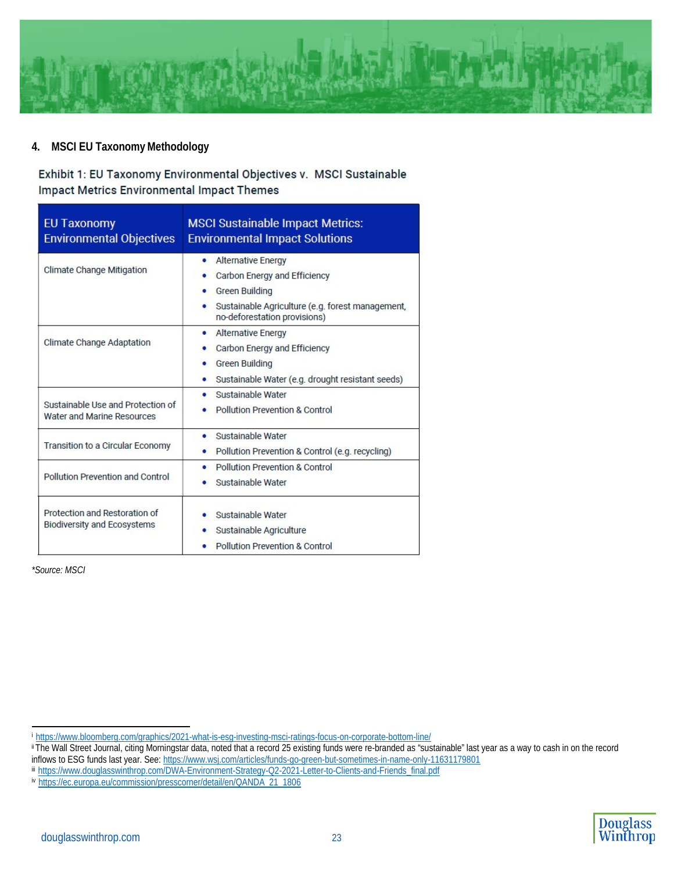

### **4. MSCI EU Taxonomy Methodology**

Exhibit 1: EU Taxonomy Environmental Objectives v. MSCI Sustainable **Impact Metrics Environmental Impact Themes** 

| <b>EU Taxonomy</b><br><b>Environmental Objectives</b>                  | <b>MSCI Sustainable Impact Metrics:</b><br><b>Environmental Impact Solutions</b>                                                                                            |
|------------------------------------------------------------------------|-----------------------------------------------------------------------------------------------------------------------------------------------------------------------------|
| <b>Climate Change Mitigation</b>                                       | <b>Alternative Energy</b><br>٠<br>Carbon Energy and Efficiency<br><b>Green Building</b><br>Sustainable Agriculture (e.g. forest management,<br>no-deforestation provisions) |
| <b>Climate Change Adaptation</b>                                       | <b>Alternative Energy</b><br>٠<br>Carbon Energy and Efficiency<br><b>Green Building</b><br>Sustainable Water (e.g. drought resistant seeds)                                 |
| Sustainable Use and Protection of<br><b>Water and Marine Resources</b> | Sustainable Water<br>Pollution Prevention & Control                                                                                                                         |
| Transition to a Circular Economy                                       | Sustainable Water<br>٠<br>Pollution Prevention & Control (e.g. recycling)                                                                                                   |
| Pollution Prevention and Control                                       | <b>Pollution Prevention &amp; Control</b><br>Sustainable Water                                                                                                              |
| Protection and Restoration of<br><b>Biodiversity and Ecosystems</b>    | Sustainable Water<br>Sustainable Agriculture<br><b>Pollution Prevention &amp; Control</b>                                                                                   |

*\*Source: MSCI*

<span id="page-22-0"></span>i<https://www.bloomberg.com/graphics/2021-what-is-esg-investing-msci-ratings-focus-on-corporate-bottom-line/>

<span id="page-22-1"></span>ii The Wall Street Journal, citing Morningstar data, noted that a record 25 existing funds were re-branded as "sustainable" last year as a way to cash in on the record inflows to ESG funds last year. See[: https://www.wsj.com/articles/funds-go-green-but-sometimes-in-name-only-11631179801](https://www.wsj.com/articles/funds-go-green-but-sometimes-in-name-only-11631179801)

<span id="page-22-2"></span>iii [https://www.douglasswinthrop.com/DWA-Environment-Strategy-Q2-2021-Letter-to-Clients-and-Friends\\_final.pdf](https://www.douglasswinthrop.com/DWA-Environment-Strategy-Q2-2021-Letter-to-Clients-and-Friends_final.pdf)

<span id="page-22-3"></span>iv [https://ec.europa.eu/commission/presscorner/detail/en/QANDA\\_21\\_1806](https://ec.europa.eu/commission/presscorner/detail/en/QANDA_21_1806)